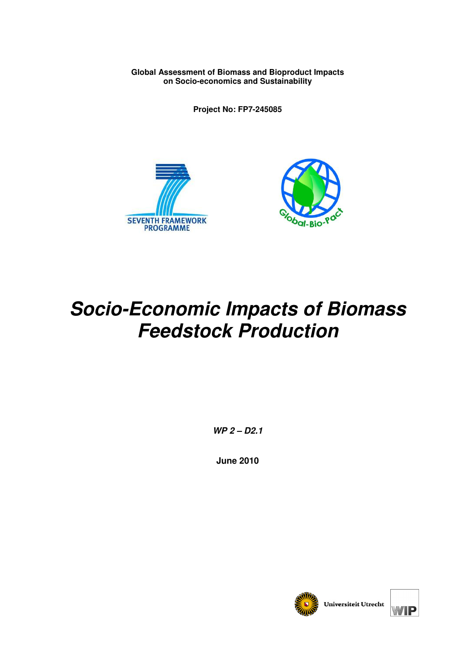**Global Assessment of Biomass and Bioproduct Impacts on Socio-economics and Sustainability** 

**Project No: FP7-245085** 





# **Socio-Economic Impacts of Biomass Feedstock Production**

**WP 2 – D2.1** 

**June 2010** 

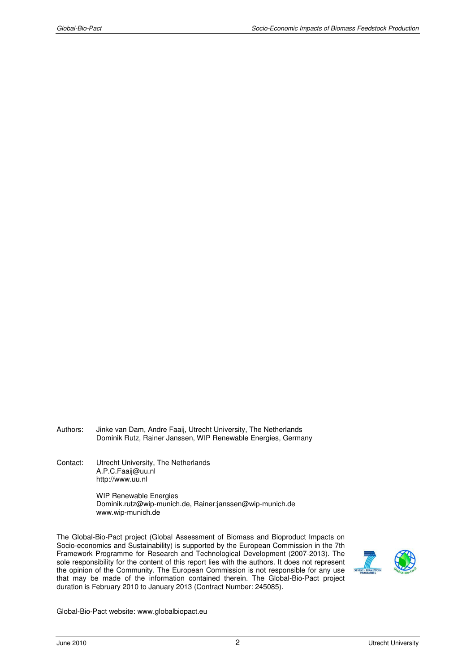- Authors: Jinke van Dam, Andre Faaij, Utrecht University, The Netherlands Dominik Rutz, Rainer Janssen, WIP Renewable Energies, Germany
- Contact: Utrecht University, The Netherlands A.P.C.Faaij@uu.nl http://www.uu.nl

 WIP Renewable Energies Dominik.rutz@wip-munich.de, Rainer:janssen@wip-munich.de www.wip-munich.de

The Global-Bio-Pact project (Global Assessment of Biomass and Bioproduct Impacts on Socio-economics and Sustainability) is supported by the European Commission in the 7th Framework Programme for Research and Technological Development (2007-2013). The sole responsibility for the content of this report lies with the authors. It does not represent the opinion of the Community. The European Commission is not responsible for any use that may be made of the information contained therein. The Global-Bio-Pact project duration is February 2010 to January 2013 (Contract Number: 245085).



Global-Bio-Pact website: www.globalbiopact.eu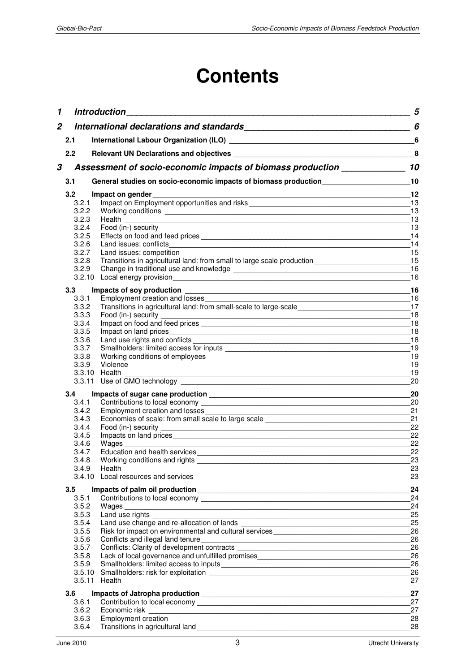# **Contents**

| 1            |                | <b>Introduction</b> the contract of the contract of the contract of the contract of the contract of the contract of the contract of the contract of the contract of the contract of the contract of the contract of the contract of            | 5        |
|--------------|----------------|------------------------------------------------------------------------------------------------------------------------------------------------------------------------------------------------------------------------------------------------|----------|
| $\mathbf{2}$ |                |                                                                                                                                                                                                                                                | 6        |
|              | 2.1            |                                                                                                                                                                                                                                                |          |
|              | 2.2            |                                                                                                                                                                                                                                                | 8        |
| 3            |                | Assessment of socio-economic impacts of biomass production _____________                                                                                                                                                                       | 10       |
|              | 3.1            | General studies on socio-economic impacts of biomass production                                                                                                                                                                                | 10       |
|              | 3.2            | Impact on gender                                                                                                                                                                                                                               | 12       |
|              | 3.2.1          |                                                                                                                                                                                                                                                |          |
|              | 3.2.2          | Working conditions <b>with a strategies of the conditions</b> with a strategies of the conditions of the conditions of the conditions of the conditions of the conditions of the conditions of the conditions of the conditions of             | 13       |
|              | 3.2.3<br>3.2.4 |                                                                                                                                                                                                                                                | 13<br>13 |
|              | 3.2.5          |                                                                                                                                                                                                                                                | 14       |
|              | 3.2.6          | Land issues: conflicts                                                                                                                                                                                                                         | 14       |
|              | 3.2.7          | Land issues: competition                                                                                                                                                                                                                       | 15       |
|              | 3.2.8          | Transitions in agricultural land: from small to large scale production_________________                                                                                                                                                        | 15       |
|              | 3.2.9          |                                                                                                                                                                                                                                                | 16       |
|              |                | 3.2.10 Local energy provision<br>expression<br>Sales Anthony Distribution<br>Sales Anthony Distribution<br>Sales Anthony Distribution<br>Sales Anthony Distribution<br>Sales Anthony Distribution<br>Sales Anthony Distribution<br>Sales Antho | 16       |
|              | 3.3            |                                                                                                                                                                                                                                                | 16       |
|              | 3.3.1          |                                                                                                                                                                                                                                                |          |
|              | 3.3.2<br>3.3.3 | Transitions in agricultural land: from small-scale to large-scale                                                                                                                                                                              | 17<br>18 |
|              | 3.3.4          |                                                                                                                                                                                                                                                | 18       |
|              | 3.3.5          | Impact on land prices                                                                                                                                                                                                                          | 18       |
|              | 3.3.6          |                                                                                                                                                                                                                                                | 18       |
|              | 3.3.7          |                                                                                                                                                                                                                                                | 19       |
|              | 3.3.8          |                                                                                                                                                                                                                                                | 19       |
|              | 3.3.9          |                                                                                                                                                                                                                                                | 19<br>19 |
|              |                |                                                                                                                                                                                                                                                | 20       |
|              | 3.4            |                                                                                                                                                                                                                                                | 20       |
|              | 3.4.1          |                                                                                                                                                                                                                                                | 20       |
|              | 3.4.2          |                                                                                                                                                                                                                                                | 21       |
|              | 3.4.3          |                                                                                                                                                                                                                                                | 21       |
|              | 3.4.4          | Food (in-) security                                                                                                                                                                                                                            | 22       |
|              | 3.4.5          |                                                                                                                                                                                                                                                | 22       |
|              | 3.4.6<br>3.4.7 | Wages                                                                                                                                                                                                                                          | 22<br>22 |
|              | 3.4.8          | Working conditions and rights                                                                                                                                                                                                                  | 23       |
|              | 3.4.9          | Health                                                                                                                                                                                                                                         | 23       |
|              |                |                                                                                                                                                                                                                                                | 23       |
|              | 3.5            |                                                                                                                                                                                                                                                | 24       |
|              | 3.5.1          |                                                                                                                                                                                                                                                | 24       |
|              | 3.5.2          |                                                                                                                                                                                                                                                | 24       |
|              | 3.5.3<br>3.5.4 | Land use rights _____                                                                                                                                                                                                                          | 25<br>25 |
|              | 3.5.5          |                                                                                                                                                                                                                                                | 26       |
|              | 3.5.6          | Conflicts and illegal land tenure<br><u>Conflicts</u> and illegal land tenure                                                                                                                                                                  | 26       |
|              | 3.5.7          |                                                                                                                                                                                                                                                | 26       |
|              | 3.5.8          | Lack of local governance and unfulfilled promises________________________________                                                                                                                                                              | 26       |
|              | 3.5.9          |                                                                                                                                                                                                                                                | 26       |
|              |                | 3.5.11 Health <b>Exercise 19</b>                                                                                                                                                                                                               | 26       |
|              |                |                                                                                                                                                                                                                                                | 27       |
|              | 3.6            |                                                                                                                                                                                                                                                | 27       |
|              | 3.6.1          |                                                                                                                                                                                                                                                | 27       |
|              | 3.6.2<br>3.6.3 | <b>Employment creation</b>                                                                                                                                                                                                                     | 27<br>28 |
|              | 3.6.4          | <u> 1989 - Johann Stoff, deutscher Stoff, der Stoff, der Stoff, der Stoff, der Stoff, der Stoff, der Stoff, der S</u>                                                                                                                          | 28       |
|              |                |                                                                                                                                                                                                                                                |          |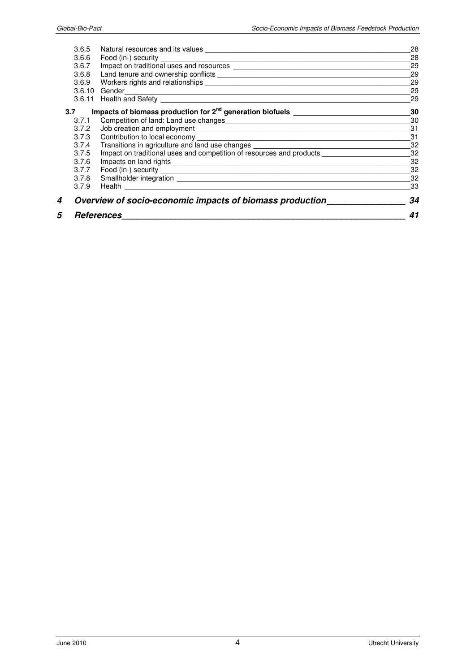| 5   | <b>References</b>                                                                                       |    |
|-----|---------------------------------------------------------------------------------------------------------|----|
| 4   | Overview of socio-economic impacts of biomass production                                                | 34 |
|     | 3.7.9                                                                                                   | 33 |
|     | 3.7.8                                                                                                   | 32 |
|     | 3.7.7                                                                                                   | 32 |
|     | 3.7.6                                                                                                   | 32 |
|     | Impact on traditional uses and competition of resources and products ____________<br>3.7.5              | 32 |
|     | Transitions in agriculture and land use changes ________________________________<br>3.7.4               | 32 |
|     | 3.7.3                                                                                                   | 31 |
|     | 3.7.2                                                                                                   | 31 |
|     | Competition of land: Land use changes<br><u>Land and Competition</u> of land: Land use changes<br>3.7.1 | 30 |
| 3.7 |                                                                                                         | 30 |
|     |                                                                                                         | 29 |
|     | 3.6.10 Gender                                                                                           | 29 |
|     | 3.6.9                                                                                                   | 29 |
|     | 3.6.8                                                                                                   | 29 |
|     | 3.6.7                                                                                                   | 29 |
|     | 3.6.6                                                                                                   | 28 |
|     | 3.6.5                                                                                                   | 28 |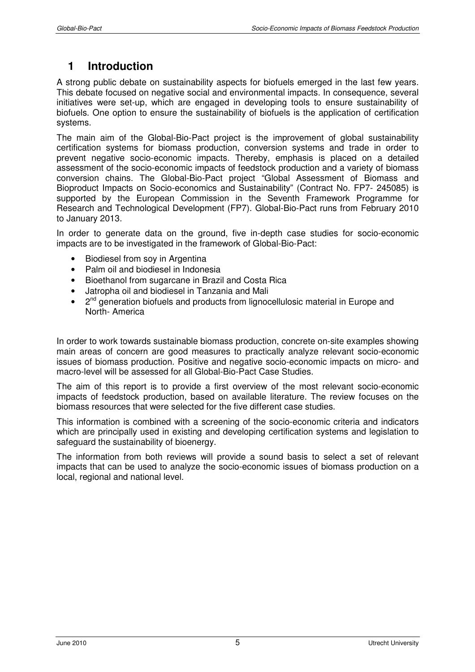# **1 Introduction**

A strong public debate on sustainability aspects for biofuels emerged in the last few years. This debate focused on negative social and environmental impacts. In consequence, several initiatives were set-up, which are engaged in developing tools to ensure sustainability of biofuels. One option to ensure the sustainability of biofuels is the application of certification systems.

The main aim of the Global-Bio-Pact project is the improvement of global sustainability certification systems for biomass production, conversion systems and trade in order to prevent negative socio-economic impacts. Thereby, emphasis is placed on a detailed assessment of the socio-economic impacts of feedstock production and a variety of biomass conversion chains. The Global-Bio-Pact project "Global Assessment of Biomass and Bioproduct Impacts on Socio-economics and Sustainability" (Contract No. FP7- 245085) is supported by the European Commission in the Seventh Framework Programme for Research and Technological Development (FP7). Global-Bio-Pact runs from February 2010 to January 2013.

In order to generate data on the ground, five in-depth case studies for socio-economic impacts are to be investigated in the framework of Global-Bio-Pact:

- Biodiesel from soy in Argentina
- Palm oil and biodiesel in Indonesia
- Bioethanol from sugarcane in Brazil and Costa Rica
- Jatropha oil and biodiesel in Tanzania and Mali
- 2<sup>nd</sup> generation biofuels and products from lignocellulosic material in Europe and North- America

In order to work towards sustainable biomass production, concrete on-site examples showing main areas of concern are good measures to practically analyze relevant socio-economic issues of biomass production. Positive and negative socio-economic impacts on micro- and macro-level will be assessed for all Global-Bio-Pact Case Studies.

The aim of this report is to provide a first overview of the most relevant socio-economic impacts of feedstock production, based on available literature. The review focuses on the biomass resources that were selected for the five different case studies.

This information is combined with a screening of the socio-economic criteria and indicators which are principally used in existing and developing certification systems and legislation to safeguard the sustainability of bioenergy.

The information from both reviews will provide a sound basis to select a set of relevant impacts that can be used to analyze the socio-economic issues of biomass production on a local, regional and national level.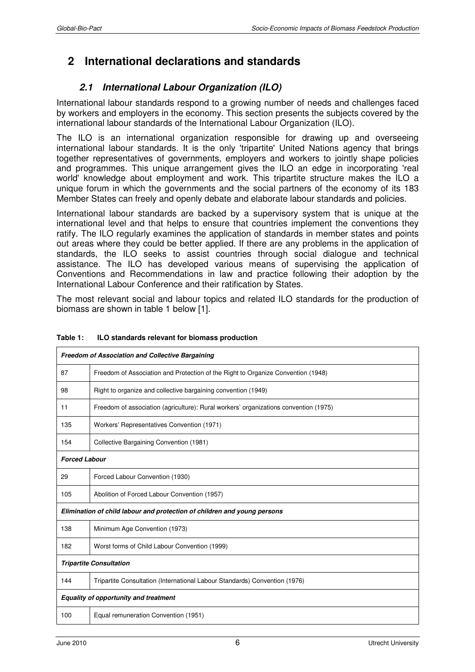# **2 International declarations and standards**

# **2.1 International Labour Organization (ILO)**

International labour standards respond to a growing number of needs and challenges faced by workers and employers in the economy. This section presents the subjects covered by the international labour standards of the International Labour Organization (ILO).

The ILO is an international organization responsible for drawing up and overseeing international labour standards. It is the only 'tripartite' United Nations agency that brings together representatives of governments, employers and workers to jointly shape policies and programmes. This unique arrangement gives the ILO an edge in incorporating 'real world' knowledge about employment and work. This tripartite structure makes the ILO a unique forum in which the governments and the social partners of the economy of its 183 Member States can freely and openly debate and elaborate labour standards and policies.

International labour standards are backed by a supervisory system that is unique at the international level and that helps to ensure that countries implement the conventions they ratify. The ILO regularly examines the application of standards in member states and points out areas where they could be better applied. If there are any problems in the application of standards, the ILO seeks to assist countries through social dialogue and technical assistance. The ILO has developed various means of supervising the application of Conventions and Recommendations in law and practice following their adoption by the International Labour Conference and their ratification by States.

The most relevant social and labour topics and related ILO standards for the production of biomass are shown in table 1 below [1].

| <b>Freedom of Association and Collective Bargaining</b>                  |                                                                                      |  |
|--------------------------------------------------------------------------|--------------------------------------------------------------------------------------|--|
| 87                                                                       | Freedom of Association and Protection of the Right to Organize Convention (1948)     |  |
| 98                                                                       | Right to organize and collective bargaining convention (1949)                        |  |
| 11                                                                       | Freedom of association (agriculture): Rural workers' organizations convention (1975) |  |
| 135                                                                      | Workers' Representatives Convention (1971)                                           |  |
| 154                                                                      | Collective Bargaining Convention (1981)                                              |  |
| <b>Forced Labour</b>                                                     |                                                                                      |  |
| 29                                                                       | Forced Labour Convention (1930)                                                      |  |
| 105                                                                      | Abolition of Forced Labour Convention (1957)                                         |  |
| Elimination of child labour and protection of children and young persons |                                                                                      |  |
| 138                                                                      | Minimum Age Convention (1973)                                                        |  |
| 182                                                                      | Worst forms of Child Labour Convention (1999)                                        |  |
| <b>Tripartite Consultation</b>                                           |                                                                                      |  |
| 144                                                                      | Tripartite Consultation (International Labour Standards) Convention (1976)           |  |
| <b>Equality of opportunity and treatment</b>                             |                                                                                      |  |
| 100                                                                      | Equal remuneration Convention (1951)                                                 |  |

#### **Table 1: ILO standards relevant for biomass production**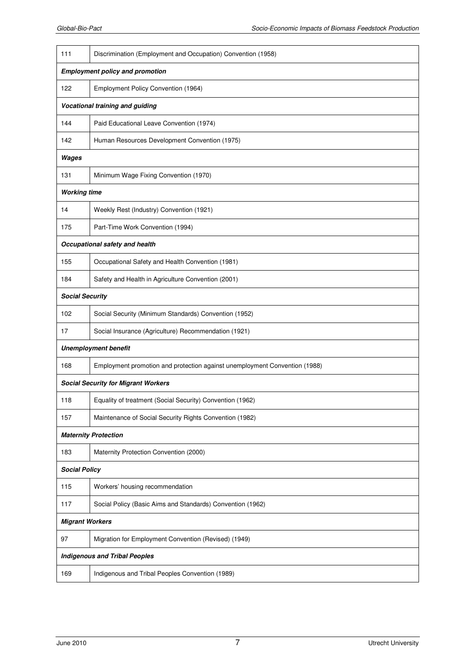| 111                                        |                                                                            |  |  |
|--------------------------------------------|----------------------------------------------------------------------------|--|--|
|                                            | Discrimination (Employment and Occupation) Convention (1958)               |  |  |
|                                            | <b>Employment policy and promotion</b>                                     |  |  |
| 122                                        | Employment Policy Convention (1964)                                        |  |  |
|                                            | Vocational training and guiding                                            |  |  |
| 144                                        | Paid Educational Leave Convention (1974)                                   |  |  |
| 142                                        | Human Resources Development Convention (1975)                              |  |  |
| Wages                                      |                                                                            |  |  |
| 131                                        | Minimum Wage Fixing Convention (1970)                                      |  |  |
| <b>Working time</b>                        |                                                                            |  |  |
| 14                                         | Weekly Rest (Industry) Convention (1921)                                   |  |  |
| 175                                        | Part-Time Work Convention (1994)                                           |  |  |
|                                            | Occupational safety and health                                             |  |  |
| 155                                        | Occupational Safety and Health Convention (1981)                           |  |  |
| 184                                        | Safety and Health in Agriculture Convention (2001)                         |  |  |
| <b>Social Security</b>                     |                                                                            |  |  |
| 102                                        | Social Security (Minimum Standards) Convention (1952)                      |  |  |
| 17                                         | Social Insurance (Agriculture) Recommendation (1921)                       |  |  |
|                                            | <b>Unemployment benefit</b>                                                |  |  |
| 168                                        | Employment promotion and protection against unemployment Convention (1988) |  |  |
| <b>Social Security for Migrant Workers</b> |                                                                            |  |  |
| 118                                        | Equality of treatment (Social Security) Convention (1962)                  |  |  |
| 157                                        | Maintenance of Social Security Rights Convention (1982)                    |  |  |
|                                            | <b>Maternity Protection</b>                                                |  |  |
| 183                                        | Maternity Protection Convention (2000)                                     |  |  |
| <b>Social Policy</b>                       |                                                                            |  |  |
| 115                                        | Workers' housing recommendation                                            |  |  |
| 117                                        | Social Policy (Basic Aims and Standards) Convention (1962)                 |  |  |
| <b>Migrant Workers</b>                     |                                                                            |  |  |
| 97                                         | Migration for Employment Convention (Revised) (1949)                       |  |  |
| <b>Indigenous and Tribal Peoples</b>       |                                                                            |  |  |
| 169                                        | Indigenous and Tribal Peoples Convention (1989)                            |  |  |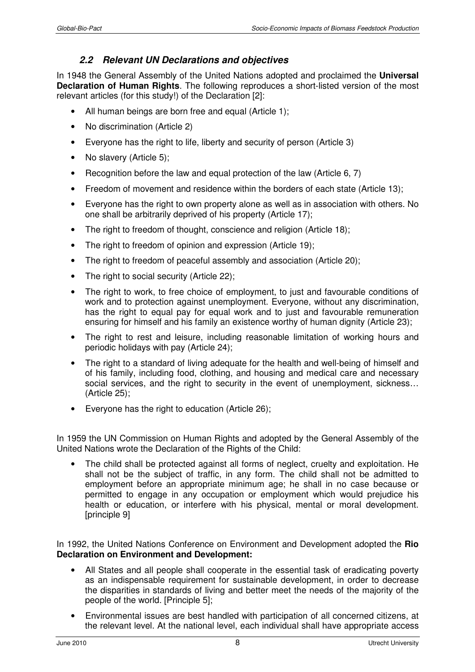# **2.2 Relevant UN Declarations and objectives**

In 1948 the General Assembly of the United Nations adopted and proclaimed the **Universal Declaration of Human Rights**. The following reproduces a short-listed version of the most relevant articles (for this study!) of the Declaration [2]:

- All human beings are born free and equal (Article 1):
- No discrimination (Article 2)
- Everyone has the right to life, liberty and security of person (Article 3)
- No slavery (Article 5);
- Recognition before the law and equal protection of the law (Article 6, 7)
- Freedom of movement and residence within the borders of each state (Article 13);
- Everyone has the right to own property alone as well as in association with others. No one shall be arbitrarily deprived of his property (Article 17);
- The right to freedom of thought, conscience and religion (Article 18);
- The right to freedom of opinion and expression (Article 19);
- The right to freedom of peaceful assembly and association (Article 20);
- The right to social security (Article 22);
- The right to work, to free choice of employment, to just and favourable conditions of work and to protection against unemployment. Everyone, without any discrimination, has the right to equal pay for equal work and to just and favourable remuneration ensuring for himself and his family an existence worthy of human dignity (Article 23);
- The right to rest and leisure, including reasonable limitation of working hours and periodic holidays with pay (Article 24);
- The right to a standard of living adequate for the health and well-being of himself and of his family, including food, clothing, and housing and medical care and necessary social services, and the right to security in the event of unemployment, sickness... (Article 25);
- Everyone has the right to education (Article 26);

In 1959 the UN Commission on Human Rights and adopted by the General Assembly of the United Nations wrote the Declaration of the Rights of the Child:

• The child shall be protected against all forms of neglect, cruelty and exploitation. He shall not be the subject of traffic, in any form. The child shall not be admitted to employment before an appropriate minimum age; he shall in no case because or permitted to engage in any occupation or employment which would prejudice his health or education, or interfere with his physical, mental or moral development. [principle 9]

In 1992, the United Nations Conference on Environment and Development adopted the **Rio Declaration on Environment and Development:** 

- All States and all people shall cooperate in the essential task of eradicating poverty as an indispensable requirement for sustainable development, in order to decrease the disparities in standards of living and better meet the needs of the majority of the people of the world. [Principle 5];
- Environmental issues are best handled with participation of all concerned citizens, at the relevant level. At the national level, each individual shall have appropriate access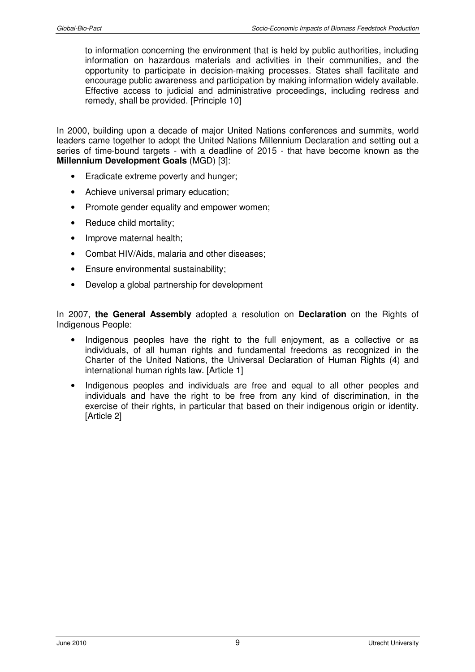to information concerning the environment that is held by public authorities, including information on hazardous materials and activities in their communities, and the opportunity to participate in decision-making processes. States shall facilitate and encourage public awareness and participation by making information widely available. Effective access to judicial and administrative proceedings, including redress and remedy, shall be provided. [Principle 10]

In 2000, building upon a decade of major United Nations conferences and summits, world leaders came together to adopt the United Nations Millennium Declaration and setting out a series of time-bound targets - with a deadline of 2015 - that have become known as the **Millennium Development Goals** (MGD) [3]:

- Eradicate extreme poverty and hunger;
- Achieve universal primary education;
- Promote gender equality and empower women:
- Reduce child mortality;
- Improve maternal health;
- Combat HIV/Aids, malaria and other diseases;
- Ensure environmental sustainability;
- Develop a global partnership for development

In 2007, **the General Assembly** adopted a resolution on **Declaration** on the Rights of Indigenous People:

- Indigenous peoples have the right to the full enjoyment, as a collective or as individuals, of all human rights and fundamental freedoms as recognized in the Charter of the United Nations, the Universal Declaration of Human Rights (4) and international human rights law. [Article 1]
- Indigenous peoples and individuals are free and equal to all other peoples and individuals and have the right to be free from any kind of discrimination, in the exercise of their rights, in particular that based on their indigenous origin or identity. [Article 2]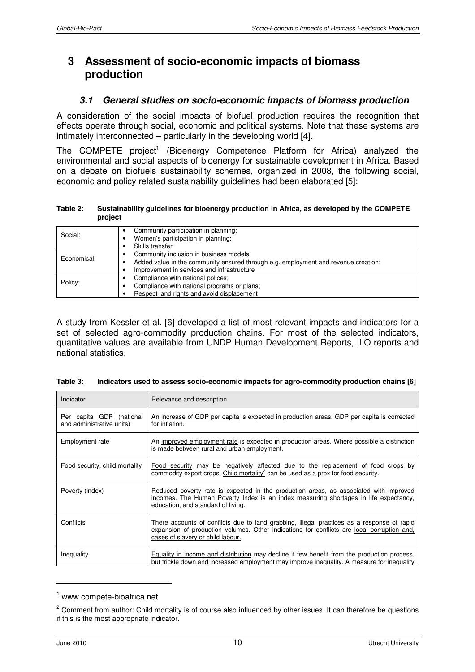# **3 Assessment of socio-economic impacts of biomass production**

#### **3.1 General studies on socio-economic impacts of biomass production**

A consideration of the social impacts of biofuel production requires the recognition that effects operate through social, economic and political systems. Note that these systems are intimately interconnected – particularly in the developing world [4].

The COMPETE project<sup>1</sup> (Bioenergy Competence Platform for Africa) analyzed the environmental and social aspects of bioenergy for sustainable development in Africa. Based on a debate on biofuels sustainability schemes, organized in 2008, the following social, economic and policy related sustainability guidelines had been elaborated [5]:

**Table 2: Sustainability guidelines for bioenergy production in Africa, as developed by the COMPETE project** 

| Social:     | Community participation in planning;<br>Women's participation in planning;<br>Skills transfer                                                                               |
|-------------|-----------------------------------------------------------------------------------------------------------------------------------------------------------------------------|
| Economical: | Community inclusion in business models;<br>Added value in the community ensured through e.g. employment and revenue creation;<br>Improvement in services and infrastructure |
| Policy:     | Compliance with national polices;<br>Compliance with national programs or plans;<br>Respect land rights and avoid displacement                                              |

A study from Kessler et al. [6] developed a list of most relevant impacts and indicators for a set of selected agro-commodity production chains. For most of the selected indicators, quantitative values are available from UNDP Human Development Reports, ILO reports and national statistics.

| Indicator                                             | Relevance and description                                                                                                                                                                                                     |
|-------------------------------------------------------|-------------------------------------------------------------------------------------------------------------------------------------------------------------------------------------------------------------------------------|
| Per capita GDP (national<br>and administrative units) | An increase of GDP per capita is expected in production areas. GDP per capita is corrected<br>for inflation.                                                                                                                  |
| <b>Employment rate</b>                                | An improved employment rate is expected in production areas. Where possible a distinction<br>is made between rural and urban employment.                                                                                      |
| Food security, child mortality                        | Food security may be negatively affected due to the replacement of food crops by<br>commodity export crops. Child mortality <sup>2</sup> can be used as a prox for food security.                                             |
| Poverty (index)                                       | Reduced poverty rate is expected in the production areas, as associated with improved<br>incomes. The Human Poverty Index is an index measuring shortages in life expectancy,<br>education, and standard of living.           |
| Conflicts                                             | There accounts of conflicts due to land grabbing, illegal practices as a response of rapid<br>expansion of production volumes. Other indications for conflicts are local corruption and,<br>cases of slavery or child labour. |
| Inequality                                            | Equality in income and distribution may decline if few benefit from the production process,<br>but trickle down and increased employment may improve inequality. A measure for inequality                                     |

| Table 3:<br>Indicators used to assess socio-economic impacts for agro-commodity production chains [6] |  |
|-------------------------------------------------------------------------------------------------------|--|
|-------------------------------------------------------------------------------------------------------|--|

 $\overline{a}$ 

<sup>1</sup> www.compete-bioafrica.net

<sup>&</sup>lt;sup>2</sup> Comment from author: Child mortality is of course also influenced by other issues. It can therefore be questions if this is the most appropriate indicator.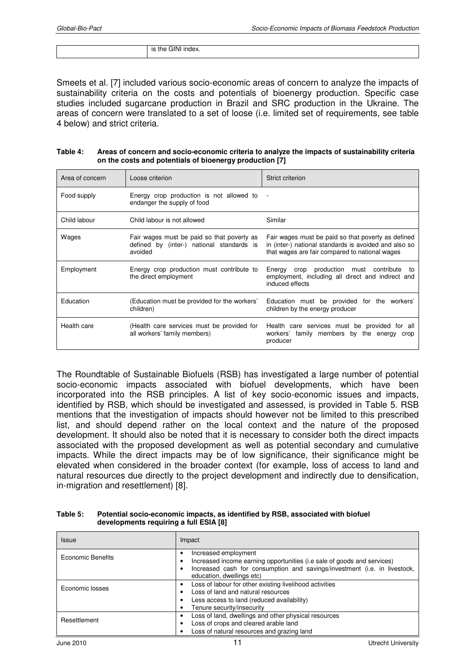Smeets et al. [7] included various socio-economic areas of concern to analyze the impacts of sustainability criteria on the costs and potentials of bioenergy production. Specific case studies included sugarcane production in Brazil and SRC production in the Ukraine. The areas of concern were translated to a set of loose (i.e. limited set of requirements, see table 4 below) and strict criteria.

| Table 4: | Areas of concern and socio-economic criteria to analyze the impacts of sustainability criteria |
|----------|------------------------------------------------------------------------------------------------|
|          | on the costs and potentials of bioenergy production [7]                                        |

| Area of concern | Loose criterion                                                                                    | Strict criterion                                                                                                                                              |
|-----------------|----------------------------------------------------------------------------------------------------|---------------------------------------------------------------------------------------------------------------------------------------------------------------|
| Food supply     | Energy crop production is not allowed to<br>endanger the supply of food                            |                                                                                                                                                               |
| Child labour    | Child labour is not allowed                                                                        | Similar                                                                                                                                                       |
| Wages           | Fair wages must be paid so that poverty as<br>defined by (inter-) national standards is<br>avoided | Fair wages must be paid so that poverty as defined<br>in (inter-) national standards is avoided and also so<br>that wages are fair compared to national wages |
| Employment      | Energy crop production must contribute to<br>the direct employment                                 | Energy crop production must contribute<br>to<br>employment, including all direct and indirect and<br>induced effects                                          |
| Education       | (Education must be provided for the workers'<br>children)                                          | Education must be provided for the workers'<br>children by the energy producer                                                                                |
| Health care     | (Health care services must be provided for<br>all workers' family members)                         | Health care services must be provided for all<br>workers' family members by the energy crop<br>producer                                                       |

The Roundtable of Sustainable Biofuels (RSB) has investigated a large number of potential socio-economic impacts associated with biofuel developments, which have been incorporated into the RSB principles. A list of key socio-economic issues and impacts, identified by RSB, which should be investigated and assessed, is provided in Table 5. RSB mentions that the investigation of impacts should however not be limited to this prescribed list, and should depend rather on the local context and the nature of the proposed development. It should also be noted that it is necessary to consider both the direct impacts associated with the proposed development as well as potential secondary and cumulative impacts. While the direct impacts may be of low significance, their significance might be elevated when considered in the broader context (for example, loss of access to land and natural resources due directly to the project development and indirectly due to densification, in-migration and resettlement) [8].

| Table 5: | Potential socio-economic impacts, as identified by RSB, associated with biofuel |
|----------|---------------------------------------------------------------------------------|
|          | developments requiring a full ESIA [8]                                          |

| Issue             | Impact                                                                                                                                                                                                    |
|-------------------|-----------------------------------------------------------------------------------------------------------------------------------------------------------------------------------------------------------|
| Economic Benefits | Increased employment<br>Increased income earning opportunities (i.e sale of goods and services)<br>Increased cash for consumption and savings/investment (i.e. in livestock,<br>education, dwellings etc) |
| Economic losses   | Loss of labour for other existing livelihood activities<br>Loss of land and natural resources<br>Less access to land (reduced availability)<br>Tenure security/insecurity                                 |
| Resettlement      | Loss of land, dwellings and other physical resources<br>Loss of crops and cleared arable land<br>Loss of natural resources and grazing land                                                               |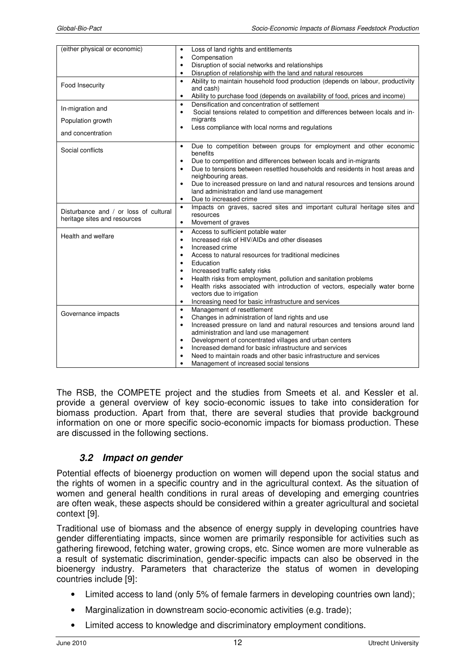| (either physical or economic)         | Loss of land rights and entitlements<br>$\bullet$                                                  |
|---------------------------------------|----------------------------------------------------------------------------------------------------|
|                                       | Compensation<br>$\bullet$                                                                          |
|                                       | Disruption of social networks and relationships<br>$\bullet$                                       |
|                                       | Disruption of relationship with the land and natural resources                                     |
| Food Insecurity                       | Ability to maintain household food production (depends on labour, productivity<br>$\bullet$        |
|                                       | and cash)                                                                                          |
|                                       | Ability to purchase food (depends on availability of food, prices and income)<br>$\bullet$         |
| In-migration and                      | Densification and concentration of settlement<br>$\bullet$                                         |
|                                       | Social tensions related to competition and differences between locals and in-<br>٠                 |
| Population growth                     | migrants<br>Less compliance with local norms and regulations<br>$\bullet$                          |
| and concentration                     |                                                                                                    |
|                                       |                                                                                                    |
| Social conflicts                      | Due to competition between groups for employment and other economic<br>$\bullet$                   |
|                                       | benefits                                                                                           |
|                                       | Due to competition and differences between locals and in-migrants<br>$\bullet$                     |
|                                       | Due to tensions between resettled households and residents in host areas and                       |
|                                       | neighbouring areas.<br>Due to increased pressure on land and natural resources and tensions around |
|                                       | $\bullet$<br>land administration and land use management                                           |
|                                       | Due to increased crime<br>$\bullet$                                                                |
|                                       | Impacts on graves, sacred sites and important cultural heritage sites and<br>$\bullet$             |
| Disturbance and / or loss of cultural | resources                                                                                          |
| heritage sites and resources          | Movement of graves<br>$\bullet$                                                                    |
|                                       | Access to sufficient potable water<br>$\bullet$                                                    |
| Health and welfare                    | Increased risk of HIV/AIDs and other diseases<br>$\bullet$                                         |
|                                       | Increased crime<br>$\bullet$                                                                       |
|                                       | Access to natural resources for traditional medicines<br>٠                                         |
|                                       | Education<br>$\bullet$                                                                             |
|                                       | Increased traffic safety risks<br>$\bullet$                                                        |
|                                       | Health risks from employment, pollution and sanitation problems<br>$\bullet$                       |
|                                       | Health risks associated with introduction of vectors, especially water borne<br>$\bullet$          |
|                                       | vectors due to irrigation                                                                          |
|                                       | Increasing need for basic infrastructure and services<br>$\bullet$                                 |
| Governance impacts                    | Management of resettlement<br>$\bullet$                                                            |
|                                       | Changes in administration of land rights and use<br>٠                                              |
|                                       | Increased pressure on land and natural resources and tensions around land                          |
|                                       | administration and land use management                                                             |
|                                       | Development of concentrated villages and urban centers<br>$\bullet$                                |
|                                       | Increased demand for basic infrastructure and services<br>$\bullet$                                |
|                                       | Need to maintain roads and other basic infrastructure and services<br>٠                            |
|                                       | Management of increased social tensions                                                            |

The RSB, the COMPETE project and the studies from Smeets et al. and Kessler et al. provide a general overview of key socio-economic issues to take into consideration for biomass production. Apart from that, there are several studies that provide background information on one or more specific socio-economic impacts for biomass production. These are discussed in the following sections.

# **3.2 Impact on gender**

Potential effects of bioenergy production on women will depend upon the social status and the rights of women in a specific country and in the agricultural context. As the situation of women and general health conditions in rural areas of developing and emerging countries are often weak, these aspects should be considered within a greater agricultural and societal context [9].

Traditional use of biomass and the absence of energy supply in developing countries have gender differentiating impacts, since women are primarily responsible for activities such as gathering firewood, fetching water, growing crops, etc. Since women are more vulnerable as a result of systematic discrimination, gender-specific impacts can also be observed in the bioenergy industry. Parameters that characterize the status of women in developing countries include [9]:

- Limited access to land (only 5% of female farmers in developing countries own land);
- Marginalization in downstream socio-economic activities (e.g. trade):
- Limited access to knowledge and discriminatory employment conditions.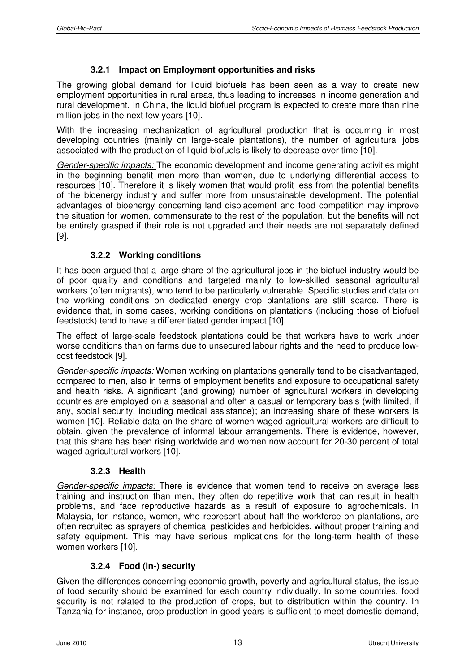#### **3.2.1 Impact on Employment opportunities and risks**

The growing global demand for liquid biofuels has been seen as a way to create new employment opportunities in rural areas, thus leading to increases in income generation and rural development. In China, the liquid biofuel program is expected to create more than nine million jobs in the next few years [10].

With the increasing mechanization of agricultural production that is occurring in most developing countries (mainly on large-scale plantations), the number of agricultural jobs associated with the production of liquid biofuels is likely to decrease over time [10].

Gender-specific impacts: The economic development and income generating activities might in the beginning benefit men more than women, due to underlying differential access to resources [10]. Therefore it is likely women that would profit less from the potential benefits of the bioenergy industry and suffer more from unsustainable development. The potential advantages of bioenergy concerning land displacement and food competition may improve the situation for women, commensurate to the rest of the population, but the benefits will not be entirely grasped if their role is not upgraded and their needs are not separately defined [9].

#### **3.2.2 Working conditions**

It has been argued that a large share of the agricultural jobs in the biofuel industry would be of poor quality and conditions and targeted mainly to low-skilled seasonal agricultural workers (often migrants), who tend to be particularly vulnerable. Specific studies and data on the working conditions on dedicated energy crop plantations are still scarce. There is evidence that, in some cases, working conditions on plantations (including those of biofuel feedstock) tend to have a differentiated gender impact [10].

The effect of large-scale feedstock plantations could be that workers have to work under worse conditions than on farms due to unsecured labour rights and the need to produce lowcost feedstock [9].

Gender-specific impacts: Women working on plantations generally tend to be disadvantaged, compared to men, also in terms of employment benefits and exposure to occupational safety and health risks. A significant (and growing) number of agricultural workers in developing countries are employed on a seasonal and often a casual or temporary basis (with limited, if any, social security, including medical assistance); an increasing share of these workers is women [10]. Reliable data on the share of women waged agricultural workers are difficult to obtain, given the prevalence of informal labour arrangements. There is evidence, however, that this share has been rising worldwide and women now account for 20-30 percent of total waged agricultural workers [10].

#### **3.2.3 Health**

Gender-specific impacts: There is evidence that women tend to receive on average less training and instruction than men, they often do repetitive work that can result in health problems, and face reproductive hazards as a result of exposure to agrochemicals. In Malaysia, for instance, women, who represent about half the workforce on plantations, are often recruited as sprayers of chemical pesticides and herbicides, without proper training and safety equipment. This may have serious implications for the long-term health of these women workers [10].

#### **3.2.4 Food (in-) security**

Given the differences concerning economic growth, poverty and agricultural status, the issue of food security should be examined for each country individually. In some countries, food security is not related to the production of crops, but to distribution within the country. In Tanzania for instance, crop production in good years is sufficient to meet domestic demand,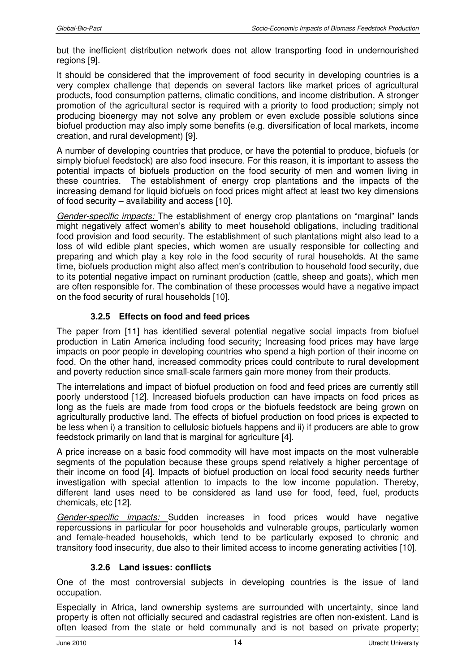but the inefficient distribution network does not allow transporting food in undernourished regions [9].

It should be considered that the improvement of food security in developing countries is a very complex challenge that depends on several factors like market prices of agricultural products, food consumption patterns, climatic conditions, and income distribution. A stronger promotion of the agricultural sector is required with a priority to food production; simply not producing bioenergy may not solve any problem or even exclude possible solutions since biofuel production may also imply some benefits (e.g. diversification of local markets, income creation, and rural development) [9].

A number of developing countries that produce, or have the potential to produce, biofuels (or simply biofuel feedstock) are also food insecure. For this reason, it is important to assess the potential impacts of biofuels production on the food security of men and women living in these countries. The establishment of energy crop plantations and the impacts of the increasing demand for liquid biofuels on food prices might affect at least two key dimensions of food security – availability and access [10].

Gender-specific impacts: The establishment of energy crop plantations on "marginal" lands might negatively affect women's ability to meet household obligations, including traditional food provision and food security. The establishment of such plantations might also lead to a loss of wild edible plant species, which women are usually responsible for collecting and preparing and which play a key role in the food security of rural households. At the same time, biofuels production might also affect men's contribution to household food security, due to its potential negative impact on ruminant production (cattle, sheep and goats), which men are often responsible for. The combination of these processes would have a negative impact on the food security of rural households [10].

# **3.2.5 Effects on food and feed prices**

The paper from [11] has identified several potential negative social impacts from biofuel production in Latin America including food security: Increasing food prices may have large impacts on poor people in developing countries who spend a high portion of their income on food. On the other hand, increased commodity prices could contribute to rural development and poverty reduction since small-scale farmers gain more money from their products.

The interrelations and impact of biofuel production on food and feed prices are currently still poorly understood [12]. Increased biofuels production can have impacts on food prices as long as the fuels are made from food crops or the biofuels feedstock are being grown on agriculturally productive land. The effects of biofuel production on food prices is expected to be less when i) a transition to cellulosic biofuels happens and ii) if producers are able to grow feedstock primarily on land that is marginal for agriculture [4].

A price increase on a basic food commodity will have most impacts on the most vulnerable segments of the population because these groups spend relatively a higher percentage of their income on food [4]. Impacts of biofuel production on local food security needs further investigation with special attention to impacts to the low income population. Thereby, different land uses need to be considered as land use for food, feed, fuel, products chemicals, etc [12].

Gender-specific impacts: Sudden increases in food prices would have negative repercussions in particular for poor households and vulnerable groups, particularly women and female-headed households, which tend to be particularly exposed to chronic and transitory food insecurity, due also to their limited access to income generating activities [10].

#### **3.2.6 Land issues: conflicts**

One of the most controversial subjects in developing countries is the issue of land occupation.

Especially in Africa, land ownership systems are surrounded with uncertainty, since land property is often not officially secured and cadastral registries are often non-existent. Land is often leased from the state or held communally and is not based on private property;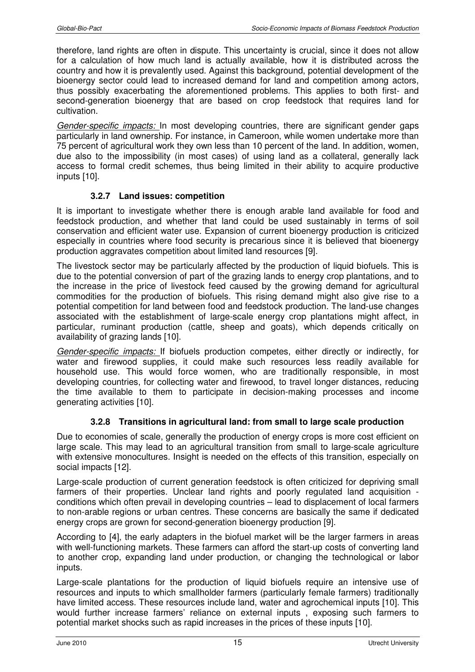therefore, land rights are often in dispute. This uncertainty is crucial, since it does not allow for a calculation of how much land is actually available, how it is distributed across the country and how it is prevalently used. Against this background, potential development of the bioenergy sector could lead to increased demand for land and competition among actors, thus possibly exacerbating the aforementioned problems. This applies to both first- and second-generation bioenergy that are based on crop feedstock that requires land for cultivation.

Gender-specific impacts: In most developing countries, there are significant gender gaps particularly in land ownership. For instance, in Cameroon, while women undertake more than 75 percent of agricultural work they own less than 10 percent of the land. In addition, women, due also to the impossibility (in most cases) of using land as a collateral, generally lack access to formal credit schemes, thus being limited in their ability to acquire productive inputs [10].

# **3.2.7 Land issues: competition**

It is important to investigate whether there is enough arable land available for food and feedstock production, and whether that land could be used sustainably in terms of soil conservation and efficient water use. Expansion of current bioenergy production is criticized especially in countries where food security is precarious since it is believed that bioenergy production aggravates competition about limited land resources [9].

The livestock sector may be particularly affected by the production of liquid biofuels. This is due to the potential conversion of part of the grazing lands to energy crop plantations, and to the increase in the price of livestock feed caused by the growing demand for agricultural commodities for the production of biofuels. This rising demand might also give rise to a potential competition for land between food and feedstock production. The land-use changes associated with the establishment of large-scale energy crop plantations might affect, in particular, ruminant production (cattle, sheep and goats), which depends critically on availability of grazing lands [10].

Gender-specific impacts: If biofuels production competes, either directly or indirectly, for water and firewood supplies, it could make such resources less readily available for household use. This would force women, who are traditionally responsible, in most developing countries, for collecting water and firewood, to travel longer distances, reducing the time available to them to participate in decision-making processes and income generating activities [10].

# **3.2.8 Transitions in agricultural land: from small to large scale production**

Due to economies of scale, generally the production of energy crops is more cost efficient on large scale. This may lead to an agricultural transition from small to large-scale agriculture with extensive monocultures. Insight is needed on the effects of this transition, especially on social impacts [12].

Large-scale production of current generation feedstock is often criticized for depriving small farmers of their properties. Unclear land rights and poorly regulated land acquisition conditions which often prevail in developing countries – lead to displacement of local farmers to non-arable regions or urban centres. These concerns are basically the same if dedicated energy crops are grown for second-generation bioenergy production [9].

According to [4], the early adapters in the biofuel market will be the larger farmers in areas with well-functioning markets. These farmers can afford the start-up costs of converting land to another crop, expanding land under production, or changing the technological or labor inputs.

Large-scale plantations for the production of liquid biofuels require an intensive use of resources and inputs to which smallholder farmers (particularly female farmers) traditionally have limited access. These resources include land, water and agrochemical inputs [10]. This would further increase farmers' reliance on external inputs , exposing such farmers to potential market shocks such as rapid increases in the prices of these inputs [10].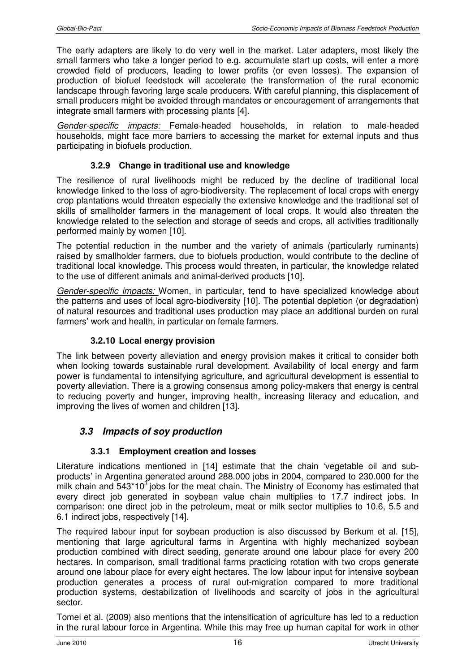The early adapters are likely to do very well in the market. Later adapters, most likely the small farmers who take a longer period to e.g. accumulate start up costs, will enter a more crowded field of producers, leading to lower profits (or even losses). The expansion of production of biofuel feedstock will accelerate the transformation of the rural economic landscape through favoring large scale producers. With careful planning, this displacement of small producers might be avoided through mandates or encouragement of arrangements that integrate small farmers with processing plants [4].

Gender-specific impacts: Female-headed households, in relation to male-headed households, might face more barriers to accessing the market for external inputs and thus participating in biofuels production.

#### **3.2.9 Change in traditional use and knowledge**

The resilience of rural livelihoods might be reduced by the decline of traditional local knowledge linked to the loss of agro-biodiversity. The replacement of local crops with energy crop plantations would threaten especially the extensive knowledge and the traditional set of skills of smallholder farmers in the management of local crops. It would also threaten the knowledge related to the selection and storage of seeds and crops, all activities traditionally performed mainly by women [10].

The potential reduction in the number and the variety of animals (particularly ruminants) raised by smallholder farmers, due to biofuels production, would contribute to the decline of traditional local knowledge. This process would threaten, in particular, the knowledge related to the use of different animals and animal-derived products [10].

Gender-specific impacts: Women, in particular, tend to have specialized knowledge about the patterns and uses of local agro-biodiversity [10]. The potential depletion (or degradation) of natural resources and traditional uses production may place an additional burden on rural farmers' work and health, in particular on female farmers.

#### **3.2.10 Local energy provision**

The link between poverty alleviation and energy provision makes it critical to consider both when looking towards sustainable rural development. Availability of local energy and farm power is fundamental to intensifying agriculture, and agricultural development is essential to poverty alleviation. There is a growing consensus among policy-makers that energy is central to reducing poverty and hunger, improving health, increasing literacy and education, and improving the lives of women and children [13].

# **3.3 Impacts of soy production**

#### **3.3.1 Employment creation and losses**

Literature indications mentioned in [14] estimate that the chain 'vegetable oil and subproducts' in Argentina generated around 288.000 jobs in 2004, compared to 230.000 for the milk chain and  $543*10<sup>3</sup>$  jobs for the meat chain. The Ministry of Economy has estimated that every direct job generated in soybean value chain multiplies to 17.7 indirect jobs. In comparison: one direct job in the petroleum, meat or milk sector multiplies to 10.6, 5.5 and 6.1 indirect jobs, respectively [14].

The required labour input for soybean production is also discussed by Berkum et al. [15], mentioning that large agricultural farms in Argentina with highly mechanized soybean production combined with direct seeding, generate around one labour place for every 200 hectares. In comparison, small traditional farms practicing rotation with two crops generate around one labour place for every eight hectares. The low labour input for intensive soybean production generates a process of rural out-migration compared to more traditional production systems, destabilization of livelihoods and scarcity of jobs in the agricultural sector.

Tomei et al. (2009) also mentions that the intensification of agriculture has led to a reduction in the rural labour force in Argentina. While this may free up human capital for work in other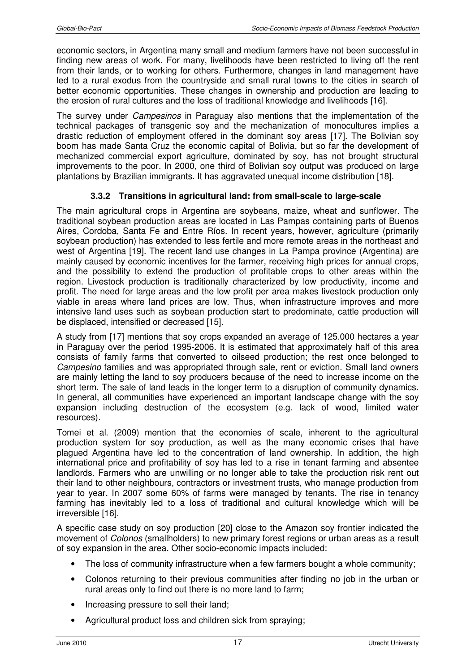economic sectors, in Argentina many small and medium farmers have not been successful in finding new areas of work. For many, livelihoods have been restricted to living off the rent from their lands, or to working for others. Furthermore, changes in land management have led to a rural exodus from the countryside and small rural towns to the cities in search of better economic opportunities. These changes in ownership and production are leading to the erosion of rural cultures and the loss of traditional knowledge and livelihoods [16].

The survey under Campesinos in Paraguay also mentions that the implementation of the technical packages of transgenic soy and the mechanization of monocultures implies a drastic reduction of employment offered in the dominant soy areas [17]. The Bolivian soy boom has made Santa Cruz the economic capital of Bolivia, but so far the development of mechanized commercial export agriculture, dominated by soy, has not brought structural improvements to the poor. In 2000, one third of Bolivian soy output was produced on large plantations by Brazilian immigrants. It has aggravated unequal income distribution [18].

#### **3.3.2 Transitions in agricultural land: from small-scale to large-scale**

The main agricultural crops in Argentina are soybeans, maize, wheat and sunflower. The traditional soybean production areas are located in Las Pampas containing parts of Buenos Aires, Cordoba, Santa Fe and Entre Ríos. In recent years, however, agriculture (primarily soybean production) has extended to less fertile and more remote areas in the northeast and west of Argentina [19]. The recent land use changes in La Pampa province (Argentina) are mainly caused by economic incentives for the farmer, receiving high prices for annual crops, and the possibility to extend the production of profitable crops to other areas within the region. Livestock production is traditionally characterized by low productivity, income and profit. The need for large areas and the low profit per area makes livestock production only viable in areas where land prices are low. Thus, when infrastructure improves and more intensive land uses such as soybean production start to predominate, cattle production will be displaced, intensified or decreased [15].

A study from [17] mentions that soy crops expanded an average of 125.000 hectares a year in Paraguay over the period 1995-2006. It is estimated that approximately half of this area consists of family farms that converted to oilseed production; the rest once belonged to Campesino families and was appropriated through sale, rent or eviction. Small land owners are mainly letting the land to soy producers because of the need to increase income on the short term. The sale of land leads in the longer term to a disruption of community dynamics. In general, all communities have experienced an important landscape change with the soy expansion including destruction of the ecosystem (e.g. lack of wood, limited water resources).

Tomei et al. (2009) mention that the economies of scale, inherent to the agricultural production system for soy production, as well as the many economic crises that have plagued Argentina have led to the concentration of land ownership. In addition, the high international price and profitability of soy has led to a rise in tenant farming and absentee landlords. Farmers who are unwilling or no longer able to take the production risk rent out their land to other neighbours, contractors or investment trusts, who manage production from year to year. In 2007 some 60% of farms were managed by tenants. The rise in tenancy farming has inevitably led to a loss of traditional and cultural knowledge which will be irreversible [16].

A specific case study on soy production [20] close to the Amazon soy frontier indicated the movement of Colonos (smallholders) to new primary forest regions or urban areas as a result of soy expansion in the area. Other socio-economic impacts included:

- The loss of community infrastructure when a few farmers bought a whole community;
- Colonos returning to their previous communities after finding no job in the urban or rural areas only to find out there is no more land to farm;
- Increasing pressure to sell their land;
- Agricultural product loss and children sick from spraying;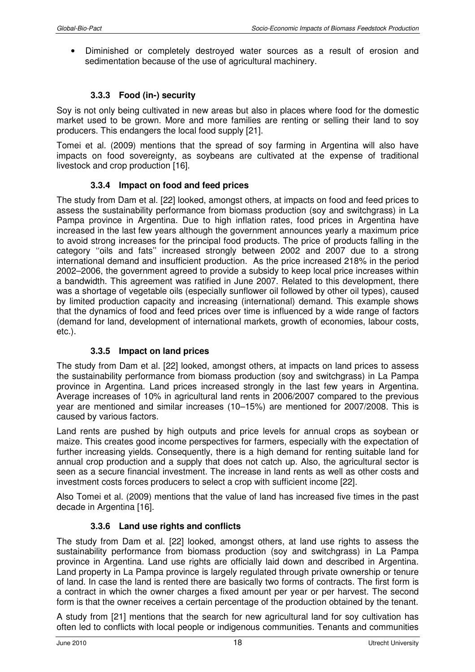• Diminished or completely destroyed water sources as a result of erosion and sedimentation because of the use of agricultural machinery.

# **3.3.3 Food (in-) security**

Soy is not only being cultivated in new areas but also in places where food for the domestic market used to be grown. More and more families are renting or selling their land to soy producers. This endangers the local food supply [21].

Tomei et al. (2009) mentions that the spread of soy farming in Argentina will also have impacts on food sovereignty, as soybeans are cultivated at the expense of traditional livestock and crop production [16].

#### **3.3.4 Impact on food and feed prices**

The study from Dam et al. [22] looked, amongst others, at impacts on food and feed prices to assess the sustainability performance from biomass production (soy and switchgrass) in La Pampa province in Argentina. Due to high inflation rates, food prices in Argentina have increased in the last few years although the government announces yearly a maximum price to avoid strong increases for the principal food products. The price of products falling in the category ''oils and fats'' increased strongly between 2002 and 2007 due to a strong international demand and insufficient production. As the price increased 218% in the period 2002–2006, the government agreed to provide a subsidy to keep local price increases within a bandwidth. This agreement was ratified in June 2007. Related to this development, there was a shortage of vegetable oils (especially sunflower oil followed by other oil types), caused by limited production capacity and increasing (international) demand. This example shows that the dynamics of food and feed prices over time is influenced by a wide range of factors (demand for land, development of international markets, growth of economies, labour costs, etc.).

#### **3.3.5 Impact on land prices**

The study from Dam et al. [22] looked, amongst others, at impacts on land prices to assess the sustainability performance from biomass production (soy and switchgrass) in La Pampa province in Argentina. Land prices increased strongly in the last few years in Argentina. Average increases of 10% in agricultural land rents in 2006/2007 compared to the previous year are mentioned and similar increases (10–15%) are mentioned for 2007/2008. This is caused by various factors.

Land rents are pushed by high outputs and price levels for annual crops as soybean or maize. This creates good income perspectives for farmers, especially with the expectation of further increasing yields. Consequently, there is a high demand for renting suitable land for annual crop production and a supply that does not catch up. Also, the agricultural sector is seen as a secure financial investment. The increase in land rents as well as other costs and investment costs forces producers to select a crop with sufficient income [22].

Also Tomei et al. (2009) mentions that the value of land has increased five times in the past decade in Argentina [16].

#### **3.3.6 Land use rights and conflicts**

The study from Dam et al. [22] looked, amongst others, at land use rights to assess the sustainability performance from biomass production (soy and switchgrass) in La Pampa province in Argentina. Land use rights are officially laid down and described in Argentina. Land property in La Pampa province is largely regulated through private ownership or tenure of land. In case the land is rented there are basically two forms of contracts. The first form is a contract in which the owner charges a fixed amount per year or per harvest. The second form is that the owner receives a certain percentage of the production obtained by the tenant.

A study from [21] mentions that the search for new agricultural land for soy cultivation has often led to conflicts with local people or indigenous communities. Tenants and communities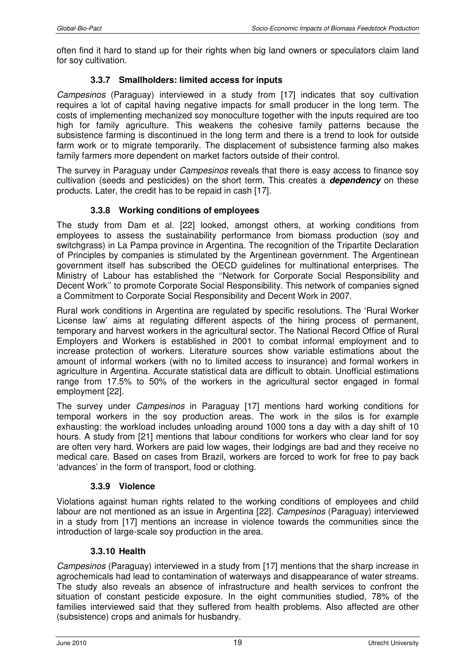often find it hard to stand up for their rights when big land owners or speculators claim land for soy cultivation.

# **3.3.7 Smallholders: limited access for inputs**

Campesinos (Paraguay) interviewed in a study from [17] indicates that soy cultivation requires a lot of capital having negative impacts for small producer in the long term. The costs of implementing mechanized soy monoculture together with the inputs required are too high for family agriculture. This weakens the cohesive family patterns because the subsistence farming is discontinued in the long term and there is a trend to look for outside farm work or to migrate temporarily. The displacement of subsistence farming also makes family farmers more dependent on market factors outside of their control.

The survey in Paraguay under *Campesinos* reveals that there is easy access to finance soy cultivation (seeds and pesticides) on the short term. This creates a **dependency** on these products. Later, the credit has to be repaid in cash [17].

# **3.3.8 Working conditions of employees**

The study from Dam et al. [22] looked, amongst others, at working conditions from employees to assess the sustainability performance from biomass production (soy and switchgrass) in La Pampa province in Argentina. The recognition of the Tripartite Declaration of Principles by companies is stimulated by the Argentinean government. The Argentinean government itself has subscribed the OECD guidelines for multinational enterprises. The Ministry of Labour has established the ''Network for Corporate Social Responsibility and Decent Work'' to promote Corporate Social Responsibility. This network of companies signed a Commitment to Corporate Social Responsibility and Decent Work in 2007.

Rural work conditions in Argentina are regulated by specific resolutions. The 'Rural Worker License law' aims at regulating different aspects of the hiring process of permanent, temporary and harvest workers in the agricultural sector. The National Record Office of Rural Employers and Workers is established in 2001 to combat informal employment and to increase protection of workers. Literature sources show variable estimations about the amount of informal workers (with no to limited access to insurance) and formal workers in agriculture in Argentina. Accurate statistical data are difficult to obtain. Unofficial estimations range from 17.5% to 50% of the workers in the agricultural sector engaged in formal employment [22].

The survey under Campesinos in Paraguay [17] mentions hard working conditions for temporal workers in the soy production areas. The work in the silos is for example exhausting: the workload includes unloading around 1000 tons a day with a day shift of 10 hours. A study from [21] mentions that labour conditions for workers who clear land for soy are often very hard. Workers are paid low wages, their lodgings are bad and they receive no medical care. Based on cases from Brazil, workers are forced to work for free to pay back 'advances' in the form of transport, food or clothing.

#### **3.3.9 Violence**

Violations against human rights related to the working conditions of employees and child labour are not mentioned as an issue in Argentina [22]. Campesinos (Paraguay) interviewed in a study from [17] mentions an increase in violence towards the communities since the introduction of large-scale soy production in the area.

#### **3.3.10 Health**

Campesinos (Paraguay) interviewed in a study from [17] mentions that the sharp increase in agrochemicals had lead to contamination of waterways and disappearance of water streams. The study also reveals an absence of infrastructure and health services to confront the situation of constant pesticide exposure. In the eight communities studied, 78% of the families interviewed said that they suffered from health problems. Also affected are other (subsistence) crops and animals for husbandry.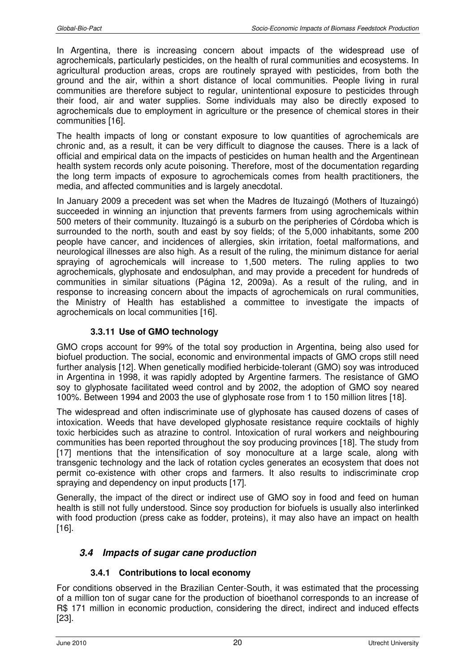In Argentina, there is increasing concern about impacts of the widespread use of agrochemicals, particularly pesticides, on the health of rural communities and ecosystems. In agricultural production areas, crops are routinely sprayed with pesticides, from both the ground and the air, within a short distance of local communities. People living in rural communities are therefore subject to regular, unintentional exposure to pesticides through their food, air and water supplies. Some individuals may also be directly exposed to agrochemicals due to employment in agriculture or the presence of chemical stores in their communities [16].

The health impacts of long or constant exposure to low quantities of agrochemicals are chronic and, as a result, it can be very difficult to diagnose the causes. There is a lack of official and empirical data on the impacts of pesticides on human health and the Argentinean health system records only acute poisoning. Therefore, most of the documentation regarding the long term impacts of exposure to agrochemicals comes from health practitioners, the media, and affected communities and is largely anecdotal.

In January 2009 a precedent was set when the Madres de Ituzaingó (Mothers of Ituzaingó) succeeded in winning an injunction that prevents farmers from using agrochemicals within 500 meters of their community. Ituzaingó is a suburb on the peripheries of Córdoba which is surrounded to the north, south and east by soy fields; of the 5,000 inhabitants, some 200 people have cancer, and incidences of allergies, skin irritation, foetal malformations, and neurological illnesses are also high. As a result of the ruling, the minimum distance for aerial spraying of agrochemicals will increase to 1,500 meters. The ruling applies to two agrochemicals, glyphosate and endosulphan, and may provide a precedent for hundreds of communities in similar situations (Página 12, 2009a). As a result of the ruling, and in response to increasing concern about the impacts of agrochemicals on rural communities, the Ministry of Health has established a committee to investigate the impacts of agrochemicals on local communities [16].

#### **3.3.11 Use of GMO technology**

GMO crops account for 99% of the total soy production in Argentina, being also used for biofuel production. The social, economic and environmental impacts of GMO crops still need further analysis [12]. When genetically modified herbicide-tolerant (GMO) soy was introduced in Argentina in 1998, it was rapidly adopted by Argentine farmers. The resistance of GMO soy to glyphosate facilitated weed control and by 2002, the adoption of GMO soy neared 100%. Between 1994 and 2003 the use of glyphosate rose from 1 to 150 million litres [18].

The widespread and often indiscriminate use of glyphosate has caused dozens of cases of intoxication. Weeds that have developed glyphosate resistance require cocktails of highly toxic herbicides such as atrazine to control. Intoxication of rural workers and neighbouring communities has been reported throughout the soy producing provinces [18]. The study from [17] mentions that the intensification of soy monoculture at a large scale, along with transgenic technology and the lack of rotation cycles generates an ecosystem that does not permit co-existence with other crops and farmers. It also results to indiscriminate crop spraying and dependency on input products [17].

Generally, the impact of the direct or indirect use of GMO soy in food and feed on human health is still not fully understood. Since soy production for biofuels is usually also interlinked with food production (press cake as fodder, proteins), it may also have an impact on health [16].

#### **3.4 Impacts of sugar cane production**

#### **3.4.1 Contributions to local economy**

For conditions observed in the Brazilian Center-South, it was estimated that the processing of a million ton of sugar cane for the production of bioethanol corresponds to an increase of R\$ 171 million in economic production, considering the direct, indirect and induced effects [23].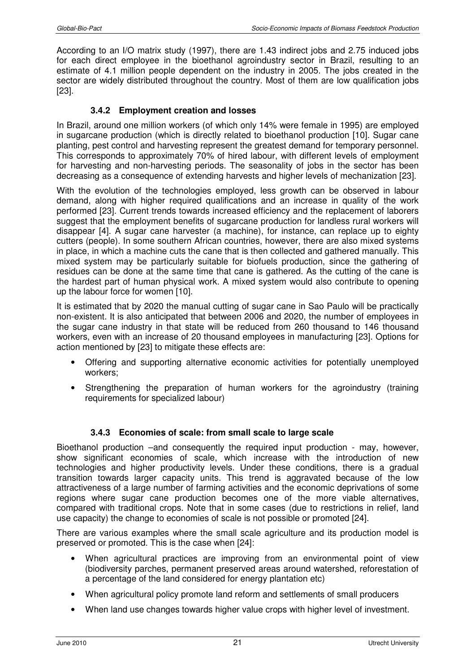According to an I/O matrix study (1997), there are 1.43 indirect jobs and 2.75 induced jobs for each direct employee in the bioethanol agroindustry sector in Brazil, resulting to an estimate of 4.1 million people dependent on the industry in 2005. The jobs created in the sector are widely distributed throughout the country. Most of them are low qualification jobs [23].

#### **3.4.2 Employment creation and losses**

In Brazil, around one million workers (of which only 14% were female in 1995) are employed in sugarcane production (which is directly related to bioethanol production [10]. Sugar cane planting, pest control and harvesting represent the greatest demand for temporary personnel. This corresponds to approximately 70% of hired labour, with different levels of employment for harvesting and non-harvesting periods. The seasonality of jobs in the sector has been decreasing as a consequence of extending harvests and higher levels of mechanization [23].

With the evolution of the technologies employed, less growth can be observed in labour demand, along with higher required qualifications and an increase in quality of the work performed [23]. Current trends towards increased efficiency and the replacement of laborers suggest that the employment benefits of sugarcane production for landless rural workers will disappear [4]. A sugar cane harvester (a machine), for instance, can replace up to eighty cutters (people). In some southern African countries, however, there are also mixed systems in place, in which a machine cuts the cane that is then collected and gathered manually. This mixed system may be particularly suitable for biofuels production, since the gathering of residues can be done at the same time that cane is gathered. As the cutting of the cane is the hardest part of human physical work. A mixed system would also contribute to opening up the labour force for women [10].

It is estimated that by 2020 the manual cutting of sugar cane in Sao Paulo will be practically non-existent. It is also anticipated that between 2006 and 2020, the number of employees in the sugar cane industry in that state will be reduced from 260 thousand to 146 thousand workers, even with an increase of 20 thousand employees in manufacturing [23]. Options for action mentioned by [23] to mitigate these effects are:

- Offering and supporting alternative economic activities for potentially unemployed workers;
- Strengthening the preparation of human workers for the agroindustry (training requirements for specialized labour)

#### **3.4.3 Economies of scale: from small scale to large scale**

Bioethanol production –and consequently the required input production - may, however, show significant economies of scale, which increase with the introduction of new technologies and higher productivity levels. Under these conditions, there is a gradual transition towards larger capacity units. This trend is aggravated because of the low attractiveness of a large number of farming activities and the economic deprivations of some regions where sugar cane production becomes one of the more viable alternatives, compared with traditional crops. Note that in some cases (due to restrictions in relief, land use capacity) the change to economies of scale is not possible or promoted [24].

There are various examples where the small scale agriculture and its production model is preserved or promoted. This is the case when [24]:

- When agricultural practices are improving from an environmental point of view (biodiversity parches, permanent preserved areas around watershed, reforestation of a percentage of the land considered for energy plantation etc)
- When agricultural policy promote land reform and settlements of small producers
- When land use changes towards higher value crops with higher level of investment.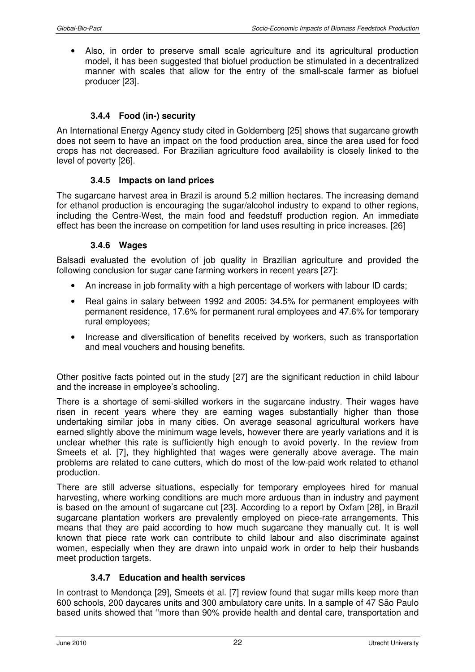• Also, in order to preserve small scale agriculture and its agricultural production model, it has been suggested that biofuel production be stimulated in a decentralized manner with scales that allow for the entry of the small-scale farmer as biofuel producer [23].

#### **3.4.4 Food (in-) security**

An International Energy Agency study cited in Goldemberg [25] shows that sugarcane growth does not seem to have an impact on the food production area, since the area used for food crops has not decreased. For Brazilian agriculture food availability is closely linked to the level of poverty [26].

#### **3.4.5 Impacts on land prices**

The sugarcane harvest area in Brazil is around 5.2 million hectares. The increasing demand for ethanol production is encouraging the sugar/alcohol industry to expand to other regions, including the Centre-West, the main food and feedstuff production region. An immediate effect has been the increase on competition for land uses resulting in price increases. [26]

#### **3.4.6 Wages**

Balsadi evaluated the evolution of job quality in Brazilian agriculture and provided the following conclusion for sugar cane farming workers in recent years [27]:

- An increase in job formality with a high percentage of workers with labour ID cards;
- Real gains in salary between 1992 and 2005: 34.5% for permanent employees with permanent residence, 17.6% for permanent rural employees and 47.6% for temporary rural employees;
- Increase and diversification of benefits received by workers, such as transportation and meal vouchers and housing benefits.

Other positive facts pointed out in the study [27] are the significant reduction in child labour and the increase in employee's schooling.

There is a shortage of semi-skilled workers in the sugarcane industry. Their wages have risen in recent years where they are earning wages substantially higher than those undertaking similar jobs in many cities. On average seasonal agricultural workers have earned slightly above the minimum wage levels, however there are yearly variations and it is unclear whether this rate is sufficiently high enough to avoid poverty. In the review from Smeets et al. [7], they highlighted that wages were generally above average. The main problems are related to cane cutters, which do most of the low-paid work related to ethanol production.

There are still adverse situations, especially for temporary employees hired for manual harvesting, where working conditions are much more arduous than in industry and payment is based on the amount of sugarcane cut [23]. According to a report by Oxfam [28], in Brazil sugarcane plantation workers are prevalently employed on piece-rate arrangements. This means that they are paid according to how much sugarcane they manually cut. It is well known that piece rate work can contribute to child labour and also discriminate against women, especially when they are drawn into unpaid work in order to help their husbands meet production targets.

#### **3.4.7 Education and health services**

In contrast to Mendonça [29], Smeets et al. [7] review found that sugar mills keep more than 600 schools, 200 daycares units and 300 ambulatory care units. In a sample of 47 São Paulo based units showed that ''more than 90% provide health and dental care, transportation and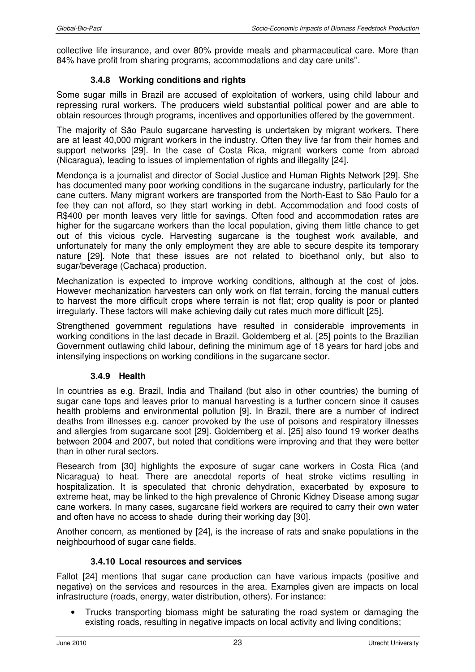collective life insurance, and over 80% provide meals and pharmaceutical care. More than 84% have profit from sharing programs, accommodations and day care units''.

### **3.4.8 Working conditions and rights**

Some sugar mills in Brazil are accused of exploitation of workers, using child labour and repressing rural workers. The producers wield substantial political power and are able to obtain resources through programs, incentives and opportunities offered by the government.

The majority of São Paulo sugarcane harvesting is undertaken by migrant workers. There are at least 40,000 migrant workers in the industry. Often they live far from their homes and support networks [29]. In the case of Costa Rica, migrant workers come from abroad (Nicaragua), leading to issues of implementation of rights and illegality [24].

Mendonça is a journalist and director of Social Justice and Human Rights Network [29]. She has documented many poor working conditions in the sugarcane industry, particularly for the cane cutters. Many migrant workers are transported from the North-East to São Paulo for a fee they can not afford, so they start working in debt. Accommodation and food costs of R\$400 per month leaves very little for savings. Often food and accommodation rates are higher for the sugarcane workers than the local population, giving them little chance to get out of this vicious cycle. Harvesting sugarcane is the toughest work available, and unfortunately for many the only employment they are able to secure despite its temporary nature [29]. Note that these issues are not related to bioethanol only, but also to sugar/beverage (Cachaca) production.

Mechanization is expected to improve working conditions, although at the cost of jobs. However mechanization harvesters can only work on flat terrain, forcing the manual cutters to harvest the more difficult crops where terrain is not flat; crop quality is poor or planted irregularly. These factors will make achieving daily cut rates much more difficult [25].

Strengthened government regulations have resulted in considerable improvements in working conditions in the last decade in Brazil. Goldemberg et al. [25] points to the Brazilian Government outlawing child labour, defining the minimum age of 18 years for hard jobs and intensifying inspections on working conditions in the sugarcane sector.

#### **3.4.9 Health**

In countries as e.g. Brazil, India and Thailand (but also in other countries) the burning of sugar cane tops and leaves prior to manual harvesting is a further concern since it causes health problems and environmental pollution [9]. In Brazil, there are a number of indirect deaths from illnesses e.g. cancer provoked by the use of poisons and respiratory illnesses and allergies from sugarcane soot [29]. Goldemberg et al. [25] also found 19 worker deaths between 2004 and 2007, but noted that conditions were improving and that they were better than in other rural sectors.

Research from [30] highlights the exposure of sugar cane workers in Costa Rica (and Nicaragua) to heat. There are anecdotal reports of heat stroke victims resulting in hospitalization. It is speculated that chronic dehydration, exacerbated by exposure to extreme heat, may be linked to the high prevalence of Chronic Kidney Disease among sugar cane workers. In many cases, sugarcane field workers are required to carry their own water and often have no access to shade during their working day [30].

Another concern, as mentioned by [24], is the increase of rats and snake populations in the neighbourhood of sugar cane fields.

#### **3.4.10 Local resources and services**

Fallot [24] mentions that sugar cane production can have various impacts (positive and negative) on the services and resources in the area. Examples given are impacts on local infrastructure (roads, energy, water distribution, others). For instance:

• Trucks transporting biomass might be saturating the road system or damaging the existing roads, resulting in negative impacts on local activity and living conditions;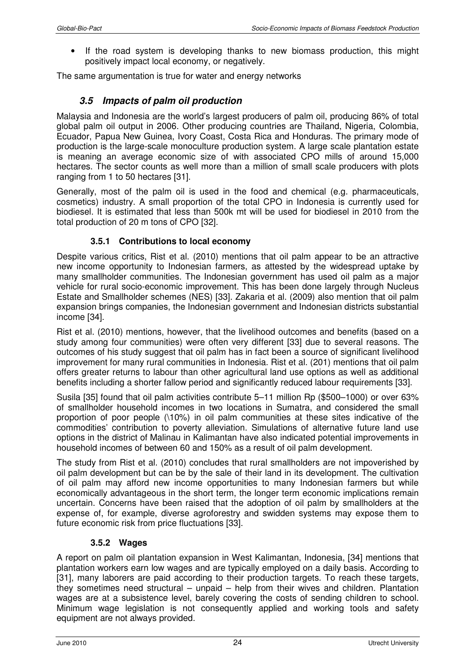• If the road system is developing thanks to new biomass production, this might positively impact local economy, or negatively.

The same argumentation is true for water and energy networks

# **3.5 Impacts of palm oil production**

Malaysia and Indonesia are the world's largest producers of palm oil, producing 86% of total global palm oil output in 2006. Other producing countries are Thailand, Nigeria, Colombia, Ecuador, Papua New Guinea, Ivory Coast, Costa Rica and Honduras. The primary mode of production is the large-scale monoculture production system. A large scale plantation estate is meaning an average economic size of with associated CPO mills of around 15,000 hectares. The sector counts as well more than a million of small scale producers with plots ranging from 1 to 50 hectares [31].

Generally, most of the palm oil is used in the food and chemical (e.g. pharmaceuticals, cosmetics) industry. A small proportion of the total CPO in Indonesia is currently used for biodiesel. It is estimated that less than 500k mt will be used for biodiesel in 2010 from the total production of 20 m tons of CPO [32].

#### **3.5.1 Contributions to local economy**

Despite various critics, Rist et al. (2010) mentions that oil palm appear to be an attractive new income opportunity to Indonesian farmers, as attested by the widespread uptake by many smallholder communities. The Indonesian government has used oil palm as a major vehicle for rural socio-economic improvement. This has been done largely through Nucleus Estate and Smallholder schemes (NES) [33]. Zakaria et al. (2009) also mention that oil palm expansion brings companies, the Indonesian government and Indonesian districts substantial income [34].

Rist et al. (2010) mentions, however, that the livelihood outcomes and benefits (based on a study among four communities) were often very different [33] due to several reasons. The outcomes of his study suggest that oil palm has in fact been a source of significant livelihood improvement for many rural communities in Indonesia. Rist et al. (201) mentions that oil palm offers greater returns to labour than other agricultural land use options as well as additional benefits including a shorter fallow period and significantly reduced labour requirements [33].

Susila [35] found that oil palm activities contribute 5–11 million Rp (\$500–1000) or over 63% of smallholder household incomes in two locations in Sumatra, and considered the small proportion of poor people (\10%) in oil palm communities at these sites indicative of the commodities' contribution to poverty alleviation. Simulations of alternative future land use options in the district of Malinau in Kalimantan have also indicated potential improvements in household incomes of between 60 and 150% as a result of oil palm development.

The study from Rist et al. (2010) concludes that rural smallholders are not impoverished by oil palm development but can be by the sale of their land in its development. The cultivation of oil palm may afford new income opportunities to many Indonesian farmers but while economically advantageous in the short term, the longer term economic implications remain uncertain. Concerns have been raised that the adoption of oil palm by smallholders at the expense of, for example, diverse agroforestry and swidden systems may expose them to future economic risk from price fluctuations [33].

#### **3.5.2 Wages**

A report on palm oil plantation expansion in West Kalimantan, Indonesia, [34] mentions that plantation workers earn low wages and are typically employed on a daily basis. According to [31], many laborers are paid according to their production targets. To reach these targets, they sometimes need structural – unpaid – help from their wives and children. Plantation wages are at a subsistence level, barely covering the costs of sending children to school. Minimum wage legislation is not consequently applied and working tools and safety equipment are not always provided.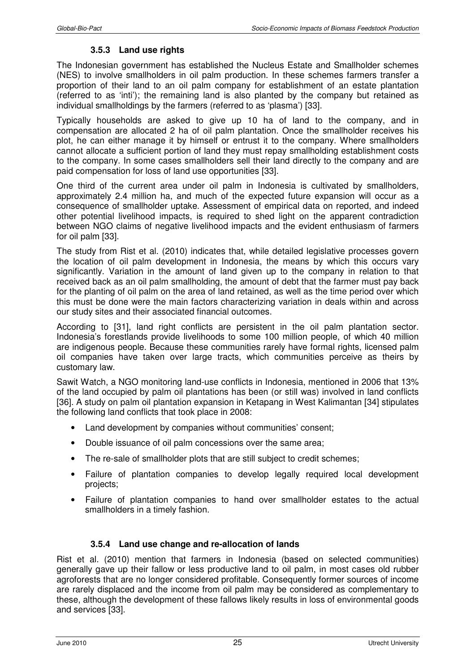# **3.5.3 Land use rights**

The Indonesian government has established the Nucleus Estate and Smallholder schemes (NES) to involve smallholders in oil palm production. In these schemes farmers transfer a proportion of their land to an oil palm company for establishment of an estate plantation (referred to as 'inti'); the remaining land is also planted by the company but retained as individual smallholdings by the farmers (referred to as 'plasma') [33].

Typically households are asked to give up 10 ha of land to the company, and in compensation are allocated 2 ha of oil palm plantation. Once the smallholder receives his plot, he can either manage it by himself or entrust it to the company. Where smallholders cannot allocate a sufficient portion of land they must repay smallholding establishment costs to the company. In some cases smallholders sell their land directly to the company and are paid compensation for loss of land use opportunities [33].

One third of the current area under oil palm in Indonesia is cultivated by smallholders, approximately 2.4 million ha, and much of the expected future expansion will occur as a consequence of smallholder uptake. Assessment of empirical data on reported, and indeed other potential livelihood impacts, is required to shed light on the apparent contradiction between NGO claims of negative livelihood impacts and the evident enthusiasm of farmers for oil palm [33].

The study from Rist et al. (2010) indicates that, while detailed legislative processes govern the location of oil palm development in Indonesia, the means by which this occurs vary significantly. Variation in the amount of land given up to the company in relation to that received back as an oil palm smallholding, the amount of debt that the farmer must pay back for the planting of oil palm on the area of land retained, as well as the time period over which this must be done were the main factors characterizing variation in deals within and across our study sites and their associated financial outcomes.

According to [31], land right conflicts are persistent in the oil palm plantation sector. Indonesia's forestlands provide livelihoods to some 100 million people, of which 40 million are indigenous people. Because these communities rarely have formal rights, licensed palm oil companies have taken over large tracts, which communities perceive as theirs by customary law.

Sawit Watch, a NGO monitoring land-use conflicts in Indonesia, mentioned in 2006 that 13% of the land occupied by palm oil plantations has been (or still was) involved in land conflicts [36]. A study on palm oil plantation expansion in Ketapang in West Kalimantan [34] stipulates the following land conflicts that took place in 2008:

- Land development by companies without communities' consent;
- Double issuance of oil palm concessions over the same area;
- The re-sale of smallholder plots that are still subject to credit schemes;
- Failure of plantation companies to develop legally required local development projects;
- Failure of plantation companies to hand over smallholder estates to the actual smallholders in a timely fashion.

# **3.5.4 Land use change and re-allocation of lands**

Rist et al. (2010) mention that farmers in Indonesia (based on selected communities) generally gave up their fallow or less productive land to oil palm, in most cases old rubber agroforests that are no longer considered profitable. Consequently former sources of income are rarely displaced and the income from oil palm may be considered as complementary to these, although the development of these fallows likely results in loss of environmental goods and services [33].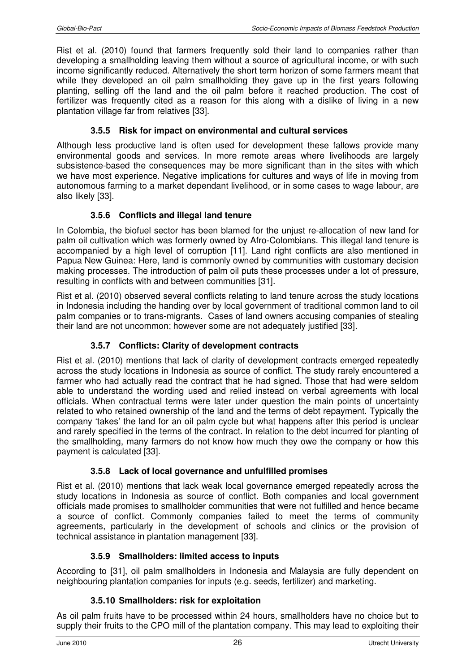Rist et al. (2010) found that farmers frequently sold their land to companies rather than developing a smallholding leaving them without a source of agricultural income, or with such income significantly reduced. Alternatively the short term horizon of some farmers meant that while they developed an oil palm smallholding they gave up in the first years following planting, selling off the land and the oil palm before it reached production. The cost of fertilizer was frequently cited as a reason for this along with a dislike of living in a new plantation village far from relatives [33].

#### **3.5.5 Risk for impact on environmental and cultural services**

Although less productive land is often used for development these fallows provide many environmental goods and services. In more remote areas where livelihoods are largely subsistence-based the consequences may be more significant than in the sites with which we have most experience. Negative implications for cultures and ways of life in moving from autonomous farming to a market dependant livelihood, or in some cases to wage labour, are also likely [33].

#### **3.5.6 Conflicts and illegal land tenure**

In Colombia, the biofuel sector has been blamed for the unjust re-allocation of new land for palm oil cultivation which was formerly owned by Afro-Colombians. This illegal land tenure is accompanied by a high level of corruption [11]. Land right conflicts are also mentioned in Papua New Guinea: Here, land is commonly owned by communities with customary decision making processes. The introduction of palm oil puts these processes under a lot of pressure, resulting in conflicts with and between communities [31].

Rist et al. (2010) observed several conflicts relating to land tenure across the study locations in Indonesia including the handing over by local government of traditional common land to oil palm companies or to trans-migrants. Cases of land owners accusing companies of stealing their land are not uncommon; however some are not adequately justified [33].

#### **3.5.7 Conflicts: Clarity of development contracts**

Rist et al. (2010) mentions that lack of clarity of development contracts emerged repeatedly across the study locations in Indonesia as source of conflict. The study rarely encountered a farmer who had actually read the contract that he had signed. Those that had were seldom able to understand the wording used and relied instead on verbal agreements with local officials. When contractual terms were later under question the main points of uncertainty related to who retained ownership of the land and the terms of debt repayment. Typically the company 'takes' the land for an oil palm cycle but what happens after this period is unclear and rarely specified in the terms of the contract. In relation to the debt incurred for planting of the smallholding, many farmers do not know how much they owe the company or how this payment is calculated [33].

#### **3.5.8 Lack of local governance and unfulfilled promises**

Rist et al. (2010) mentions that lack weak local governance emerged repeatedly across the study locations in Indonesia as source of conflict. Both companies and local government officials made promises to smallholder communities that were not fulfilled and hence became a source of conflict. Commonly companies failed to meet the terms of community agreements, particularly in the development of schools and clinics or the provision of technical assistance in plantation management [33].

#### **3.5.9 Smallholders: limited access to inputs**

According to [31], oil palm smallholders in Indonesia and Malaysia are fully dependent on neighbouring plantation companies for inputs (e.g. seeds, fertilizer) and marketing.

#### **3.5.10 Smallholders: risk for exploitation**

As oil palm fruits have to be processed within 24 hours, smallholders have no choice but to supply their fruits to the CPO mill of the plantation company. This may lead to exploiting their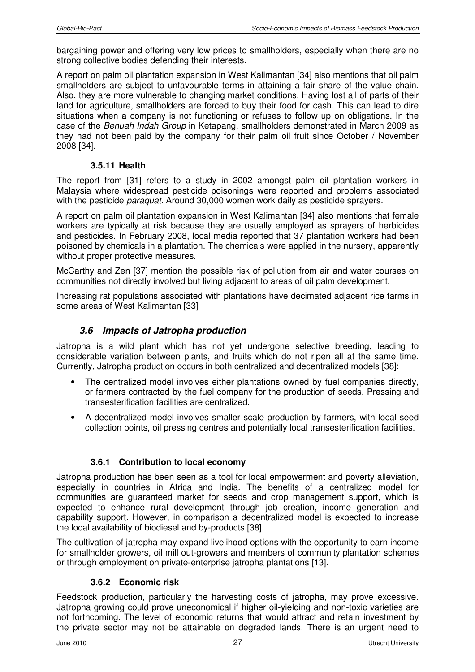bargaining power and offering very low prices to smallholders, especially when there are no strong collective bodies defending their interests.

A report on palm oil plantation expansion in West Kalimantan [34] also mentions that oil palm smallholders are subject to unfavourable terms in attaining a fair share of the value chain. Also, they are more vulnerable to changing market conditions. Having lost all of parts of their land for agriculture, smallholders are forced to buy their food for cash. This can lead to dire situations when a company is not functioning or refuses to follow up on obligations. In the case of the Benuah Indah Group in Ketapang, smallholders demonstrated in March 2009 as they had not been paid by the company for their palm oil fruit since October / November 2008 [34].

#### **3.5.11 Health**

The report from [31] refers to a study in 2002 amongst palm oil plantation workers in Malaysia where widespread pesticide poisonings were reported and problems associated with the pesticide *paraquat*. Around 30,000 women work daily as pesticide sprayers.

A report on palm oil plantation expansion in West Kalimantan [34] also mentions that female workers are typically at risk because they are usually employed as sprayers of herbicides and pesticides. In February 2008, local media reported that 37 plantation workers had been poisoned by chemicals in a plantation. The chemicals were applied in the nursery, apparently without proper protective measures.

McCarthy and Zen [37] mention the possible risk of pollution from air and water courses on communities not directly involved but living adjacent to areas of oil palm development.

Increasing rat populations associated with plantations have decimated adjacent rice farms in some areas of West Kalimantan [33]

# **3.6 Impacts of Jatropha production**

Jatropha is a wild plant which has not yet undergone selective breeding, leading to considerable variation between plants, and fruits which do not ripen all at the same time. Currently, Jatropha production occurs in both centralized and decentralized models [38]:

- The centralized model involves either plantations owned by fuel companies directly, or farmers contracted by the fuel company for the production of seeds. Pressing and transesterification facilities are centralized.
- A decentralized model involves smaller scale production by farmers, with local seed collection points, oil pressing centres and potentially local transesterification facilities.

#### **3.6.1 Contribution to local economy**

Jatropha production has been seen as a tool for local empowerment and poverty alleviation, especially in countries in Africa and India. The benefits of a centralized model for communities are guaranteed market for seeds and crop management support, which is expected to enhance rural development through job creation, income generation and capability support. However, in comparison a decentralized model is expected to increase the local availability of biodiesel and by-products [38].

The cultivation of jatropha may expand livelihood options with the opportunity to earn income for smallholder growers, oil mill out-growers and members of community plantation schemes or through employment on private-enterprise jatropha plantations [13].

#### **3.6.2 Economic risk**

Feedstock production, particularly the harvesting costs of jatropha, may prove excessive. Jatropha growing could prove uneconomical if higher oil-yielding and non-toxic varieties are not forthcoming. The level of economic returns that would attract and retain investment by the private sector may not be attainable on degraded lands. There is an urgent need to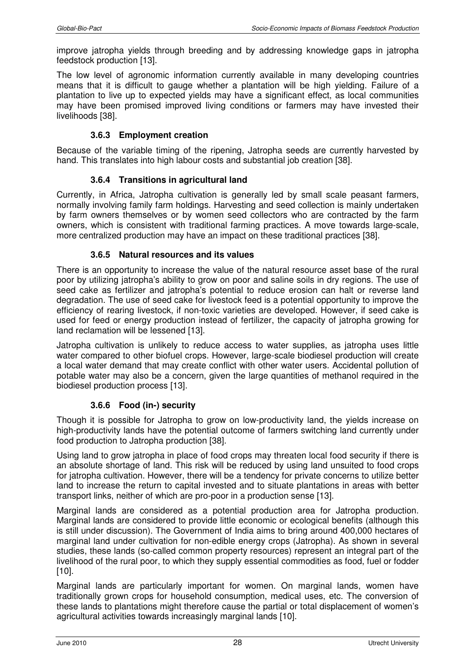improve jatropha yields through breeding and by addressing knowledge gaps in jatropha feedstock production [13].

The low level of agronomic information currently available in many developing countries means that it is difficult to gauge whether a plantation will be high yielding. Failure of a plantation to live up to expected yields may have a significant effect, as local communities may have been promised improved living conditions or farmers may have invested their livelihoods [38].

### **3.6.3 Employment creation**

Because of the variable timing of the ripening, Jatropha seeds are currently harvested by hand. This translates into high labour costs and substantial job creation [38].

#### **3.6.4 Transitions in agricultural land**

Currently, in Africa, Jatropha cultivation is generally led by small scale peasant farmers, normally involving family farm holdings. Harvesting and seed collection is mainly undertaken by farm owners themselves or by women seed collectors who are contracted by the farm owners, which is consistent with traditional farming practices. A move towards large-scale, more centralized production may have an impact on these traditional practices [38].

# **3.6.5 Natural resources and its values**

There is an opportunity to increase the value of the natural resource asset base of the rural poor by utilizing jatropha's ability to grow on poor and saline soils in dry regions. The use of seed cake as fertilizer and jatropha's potential to reduce erosion can halt or reverse land degradation. The use of seed cake for livestock feed is a potential opportunity to improve the efficiency of rearing livestock, if non-toxic varieties are developed. However, if seed cake is used for feed or energy production instead of fertilizer, the capacity of jatropha growing for land reclamation will be lessened [13].

Jatropha cultivation is unlikely to reduce access to water supplies, as jatropha uses little water compared to other biofuel crops. However, large-scale biodiesel production will create a local water demand that may create conflict with other water users. Accidental pollution of potable water may also be a concern, given the large quantities of methanol required in the biodiesel production process [13].

#### **3.6.6 Food (in-) security**

Though it is possible for Jatropha to grow on low-productivity land, the yields increase on high-productivity lands have the potential outcome of farmers switching land currently under food production to Jatropha production [38].

Using land to grow jatropha in place of food crops may threaten local food security if there is an absolute shortage of land. This risk will be reduced by using land unsuited to food crops for jatropha cultivation. However, there will be a tendency for private concerns to utilize better land to increase the return to capital invested and to situate plantations in areas with better transport links, neither of which are pro-poor in a production sense [13].

Marginal lands are considered as a potential production area for Jatropha production. Marginal lands are considered to provide little economic or ecological benefits (although this is still under discussion). The Government of India aims to bring around 400,000 hectares of marginal land under cultivation for non-edible energy crops (Jatropha). As shown in several studies, these lands (so-called common property resources) represent an integral part of the livelihood of the rural poor, to which they supply essential commodities as food, fuel or fodder [10].

Marginal lands are particularly important for women. On marginal lands, women have traditionally grown crops for household consumption, medical uses, etc. The conversion of these lands to plantations might therefore cause the partial or total displacement of women's agricultural activities towards increasingly marginal lands [10].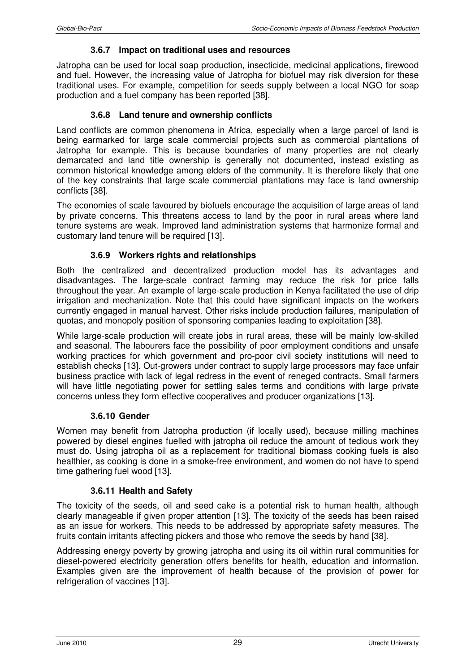#### **3.6.7 Impact on traditional uses and resources**

Jatropha can be used for local soap production, insecticide, medicinal applications, firewood and fuel. However, the increasing value of Jatropha for biofuel may risk diversion for these traditional uses. For example, competition for seeds supply between a local NGO for soap production and a fuel company has been reported [38].

#### **3.6.8 Land tenure and ownership conflicts**

Land conflicts are common phenomena in Africa, especially when a large parcel of land is being earmarked for large scale commercial projects such as commercial plantations of Jatropha for example. This is because boundaries of many properties are not clearly demarcated and land title ownership is generally not documented, instead existing as common historical knowledge among elders of the community. It is therefore likely that one of the key constraints that large scale commercial plantations may face is land ownership conflicts [38].

The economies of scale favoured by biofuels encourage the acquisition of large areas of land by private concerns. This threatens access to land by the poor in rural areas where land tenure systems are weak. Improved land administration systems that harmonize formal and customary land tenure will be required [13].

#### **3.6.9 Workers rights and relationships**

Both the centralized and decentralized production model has its advantages and disadvantages. The large-scale contract farming may reduce the risk for price falls throughout the year. An example of large-scale production in Kenya facilitated the use of drip irrigation and mechanization. Note that this could have significant impacts on the workers currently engaged in manual harvest. Other risks include production failures, manipulation of quotas, and monopoly position of sponsoring companies leading to exploitation [38].

While large-scale production will create jobs in rural areas, these will be mainly low-skilled and seasonal. The labourers face the possibility of poor employment conditions and unsafe working practices for which government and pro-poor civil society institutions will need to establish checks [13]. Out-growers under contract to supply large processors may face unfair business practice with lack of legal redress in the event of reneged contracts. Small farmers will have little negotiating power for settling sales terms and conditions with large private concerns unless they form effective cooperatives and producer organizations [13].

#### **3.6.10 Gender**

Women may benefit from Jatropha production (if locally used), because milling machines powered by diesel engines fuelled with jatropha oil reduce the amount of tedious work they must do. Using jatropha oil as a replacement for traditional biomass cooking fuels is also healthier, as cooking is done in a smoke-free environment, and women do not have to spend time gathering fuel wood [13].

#### **3.6.11 Health and Safety**

The toxicity of the seeds, oil and seed cake is a potential risk to human health, although clearly manageable if given proper attention [13]. The toxicity of the seeds has been raised as an issue for workers. This needs to be addressed by appropriate safety measures. The fruits contain irritants affecting pickers and those who remove the seeds by hand [38].

Addressing energy poverty by growing jatropha and using its oil within rural communities for diesel-powered electricity generation offers benefits for health, education and information. Examples given are the improvement of health because of the provision of power for refrigeration of vaccines [13].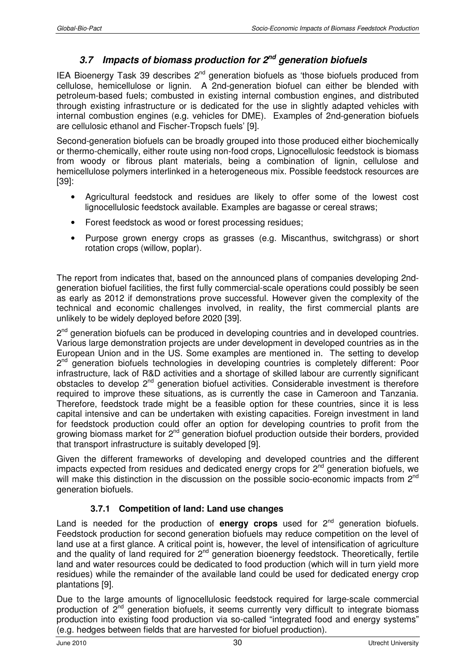# **3.7 Impacts of biomass production for 2nd generation biofuels**

IEA Bioenergy Task 39 describes  $2^{nd}$  generation biofuels as 'those biofuels produced from cellulose, hemicellulose or lignin. A 2nd-generation biofuel can either be blended with petroleum-based fuels; combusted in existing internal combustion engines, and distributed through existing infrastructure or is dedicated for the use in slightly adapted vehicles with internal combustion engines (e.g. vehicles for DME). Examples of 2nd-generation biofuels are cellulosic ethanol and Fischer-Tropsch fuels' [9].

Second-generation biofuels can be broadly grouped into those produced either biochemically or thermo-chemically, either route using non-food crops, Lignocellulosic feedstock is biomass from woody or fibrous plant materials, being a combination of lignin, cellulose and hemicellulose polymers interlinked in a heterogeneous mix. Possible feedstock resources are [39]:

- Agricultural feedstock and residues are likely to offer some of the lowest cost lignocellulosic feedstock available. Examples are bagasse or cereal straws;
- Forest feedstock as wood or forest processing residues;
- Purpose grown energy crops as grasses (e.g. Miscanthus, switchgrass) or short rotation crops (willow, poplar).

The report from indicates that, based on the announced plans of companies developing 2ndgeneration biofuel facilities, the first fully commercial-scale operations could possibly be seen as early as 2012 if demonstrations prove successful. However given the complexity of the technical and economic challenges involved, in reality, the first commercial plants are unlikely to be widely deployed before 2020 [39].

2<sup>nd</sup> generation biofuels can be produced in developing countries and in developed countries. Various large demonstration projects are under development in developed countries as in the European Union and in the US. Some examples are mentioned in. The setting to develop 2<sup>nd</sup> generation biofuels technologies in developing countries is completely different: Poor infrastructure, lack of R&D activities and a shortage of skilled labour are currently significant obstacles to develop 2nd generation biofuel activities. Considerable investment is therefore required to improve these situations, as is currently the case in Cameroon and Tanzania. Therefore, feedstock trade might be a feasible option for these countries, since it is less capital intensive and can be undertaken with existing capacities. Foreign investment in land for feedstock production could offer an option for developing countries to profit from the growing biomass market for  $2<sup>nd</sup>$  generation biofuel production outside their borders, provided that transport infrastructure is suitably developed [9].

Given the different frameworks of developing and developed countries and the different impacts expected from residues and dedicated energy crops for  $2^{nd}$  generation biofuels, we will make this distinction in the discussion on the possible socio-economic impacts from 2<sup>nd</sup> generation biofuels.

# **3.7.1 Competition of land: Land use changes**

Land is needed for the production of **energy crops** used for  $2^{nd}$  generation biofuels. Feedstock production for second generation biofuels may reduce competition on the level of land use at a first glance. A critical point is, however, the level of intensification of agriculture and the quality of land required for  $2^{nd}$  generation bioenergy feedstock. Theoretically, fertile land and water resources could be dedicated to food production (which will in turn yield more residues) while the remainder of the available land could be used for dedicated energy crop plantations [9].

Due to the large amounts of lignocellulosic feedstock required for large-scale commercial production of  $2^{nd}$  generation biofuels, it seems currently very difficult to integrate biomass production into existing food production via so-called "integrated food and energy systems" (e.g. hedges between fields that are harvested for biofuel production).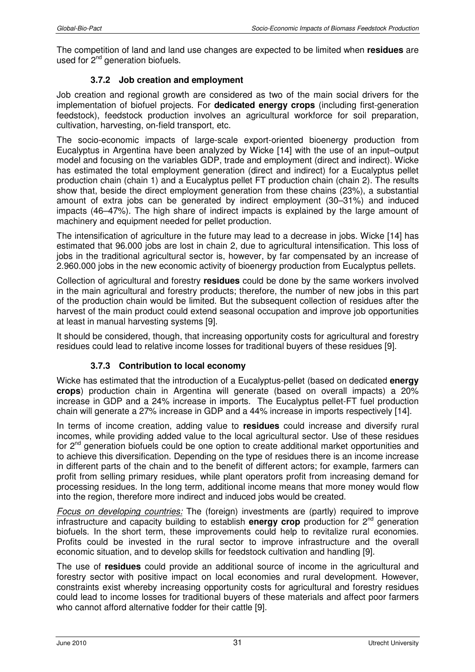The competition of land and land use changes are expected to be limited when **residues** are used for  $2<sup>nd</sup>$  generation biofuels.

#### **3.7.2 Job creation and employment**

Job creation and regional growth are considered as two of the main social drivers for the implementation of biofuel projects. For **dedicated energy crops** (including first-generation feedstock), feedstock production involves an agricultural workforce for soil preparation, cultivation, harvesting, on-field transport, etc.

The socio-economic impacts of large-scale export-oriented bioenergy production from Eucalyptus in Argentina have been analyzed by Wicke [14] with the use of an input–output model and focusing on the variables GDP, trade and employment (direct and indirect). Wicke has estimated the total employment generation (direct and indirect) for a Eucalyptus pellet production chain (chain 1) and a Eucalyptus pellet FT production chain (chain 2). The results show that, beside the direct employment generation from these chains (23%), a substantial amount of extra jobs can be generated by indirect employment (30–31%) and induced impacts (46–47%). The high share of indirect impacts is explained by the large amount of machinery and equipment needed for pellet production.

The intensification of agriculture in the future may lead to a decrease in jobs. Wicke [14] has estimated that 96.000 jobs are lost in chain 2, due to agricultural intensification. This loss of jobs in the traditional agricultural sector is, however, by far compensated by an increase of 2.960.000 jobs in the new economic activity of bioenergy production from Eucalyptus pellets.

Collection of agricultural and forestry **residues** could be done by the same workers involved in the main agricultural and forestry products; therefore, the number of new jobs in this part of the production chain would be limited. But the subsequent collection of residues after the harvest of the main product could extend seasonal occupation and improve job opportunities at least in manual harvesting systems [9].

It should be considered, though, that increasing opportunity costs for agricultural and forestry residues could lead to relative income losses for traditional buyers of these residues [9].

#### **3.7.3 Contribution to local economy**

Wicke has estimated that the introduction of a Eucalyptus-pellet (based on dedicated **energy crops**) production chain in Argentina will generate (based on overall impacts) a 20% increase in GDP and a 24% increase in imports. The Eucalyptus pellet-FT fuel production chain will generate a 27% increase in GDP and a 44% increase in imports respectively [14].

In terms of income creation, adding value to **residues** could increase and diversify rural incomes, while providing added value to the local agricultural sector. Use of these residues for  $2<sup>nd</sup>$  generation biofuels could be one option to create additional market opportunities and to achieve this diversification. Depending on the type of residues there is an income increase in different parts of the chain and to the benefit of different actors; for example, farmers can profit from selling primary residues, while plant operators profit from increasing demand for processing residues. In the long term, additional income means that more money would flow into the region, therefore more indirect and induced jobs would be created.

Focus on developing countries: The (foreign) investments are (partly) required to improve infrastructure and capacity building to establish **energy crop** production for 2nd generation biofuels. In the short term, these improvements could help to revitalize rural economies. Profits could be invested in the rural sector to improve infrastructure and the overall economic situation, and to develop skills for feedstock cultivation and handling [9].

The use of **residues** could provide an additional source of income in the agricultural and forestry sector with positive impact on local economies and rural development. However, constraints exist whereby increasing opportunity costs for agricultural and forestry residues could lead to income losses for traditional buyers of these materials and affect poor farmers who cannot afford alternative fodder for their cattle [9].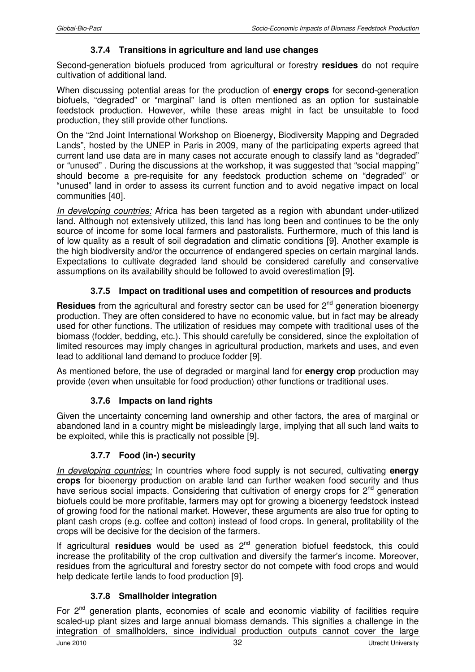#### **3.7.4 Transitions in agriculture and land use changes**

Second-generation biofuels produced from agricultural or forestry **residues** do not require cultivation of additional land.

When discussing potential areas for the production of **energy crops** for second-generation biofuels, "degraded" or "marginal" land is often mentioned as an option for sustainable feedstock production. However, while these areas might in fact be unsuitable to food production, they still provide other functions.

On the "2nd Joint International Workshop on Bioenergy, Biodiversity Mapping and Degraded Lands", hosted by the UNEP in Paris in 2009, many of the participating experts agreed that current land use data are in many cases not accurate enough to classify land as "degraded" or "unused" . During the discussions at the workshop, it was suggested that "social mapping" should become a pre-requisite for any feedstock production scheme on "degraded" or "unused" land in order to assess its current function and to avoid negative impact on local communities [40].

In developing countries: Africa has been targeted as a region with abundant under-utilized land. Although not extensively utilized, this land has long been and continues to be the only source of income for some local farmers and pastoralists. Furthermore, much of this land is of low quality as a result of soil degradation and climatic conditions [9]. Another example is the high biodiversity and/or the occurrence of endangered species on certain marginal lands. Expectations to cultivate degraded land should be considered carefully and conservative assumptions on its availability should be followed to avoid overestimation [9].

# **3.7.5 Impact on traditional uses and competition of resources and products**

**Residues** from the agricultural and forestry sector can be used for 2<sup>nd</sup> generation bioenergy production. They are often considered to have no economic value, but in fact may be already used for other functions. The utilization of residues may compete with traditional uses of the biomass (fodder, bedding, etc.). This should carefully be considered, since the exploitation of limited resources may imply changes in agricultural production, markets and uses, and even lead to additional land demand to produce fodder [9].

As mentioned before, the use of degraded or marginal land for **energy crop** production may provide (even when unsuitable for food production) other functions or traditional uses.

#### **3.7.6 Impacts on land rights**

Given the uncertainty concerning land ownership and other factors, the area of marginal or abandoned land in a country might be misleadingly large, implying that all such land waits to be exploited, while this is practically not possible [9].

#### **3.7.7 Food (in-) security**

In developing countries: In countries where food supply is not secured, cultivating **energy crops** for bioenergy production on arable land can further weaken food security and thus have serious social impacts. Considering that cultivation of energy crops for 2<sup>nd</sup> generation biofuels could be more profitable, farmers may opt for growing a bioenergy feedstock instead of growing food for the national market. However, these arguments are also true for opting to plant cash crops (e.g. coffee and cotton) instead of food crops. In general, profitability of the crops will be decisive for the decision of the farmers.

If agricultural **residues** would be used as 2nd generation biofuel feedstock, this could increase the profitability of the crop cultivation and diversify the farmer's income. Moreover, residues from the agricultural and forestry sector do not compete with food crops and would help dedicate fertile lands to food production [9].

#### **3.7.8 Smallholder integration**

For  $2^{nd}$  generation plants, economies of scale and economic viability of facilities require scaled-up plant sizes and large annual biomass demands. This signifies a challenge in the integration of smallholders, since individual production outputs cannot cover the large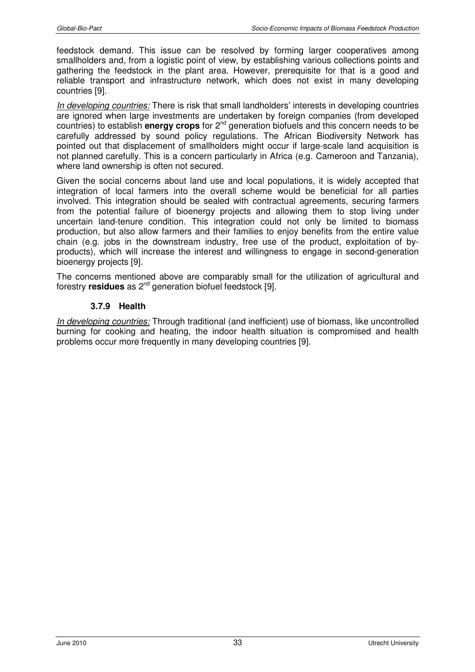feedstock demand. This issue can be resolved by forming larger cooperatives among smallholders and, from a logistic point of view, by establishing various collections points and gathering the feedstock in the plant area. However, prerequisite for that is a good and reliable transport and infrastructure network, which does not exist in many developing countries [9].

In developing countries: There is risk that small landholders' interests in developing countries are ignored when large investments are undertaken by foreign companies (from developed countries) to establish **energy crops** for 2nd generation biofuels and this concern needs to be carefully addressed by sound policy regulations. The African Biodiversity Network has pointed out that displacement of smallholders might occur if large-scale land acquisition is not planned carefully. This is a concern particularly in Africa (e.g. Cameroon and Tanzania), where land ownership is often not secured.

Given the social concerns about land use and local populations, it is widely accepted that integration of local farmers into the overall scheme would be beneficial for all parties involved. This integration should be sealed with contractual agreements, securing farmers from the potential failure of bioenergy projects and allowing them to stop living under uncertain land-tenure condition. This integration could not only be limited to biomass production, but also allow farmers and their families to enjoy benefits from the entire value chain (e.g. jobs in the downstream industry, free use of the product, exploitation of byproducts), which will increase the interest and willingness to engage in second-generation bioenergy projects [9].

The concerns mentioned above are comparably small for the utilization of agricultural and forestry **residues** as 2nd generation biofuel feedstock [9].

#### **3.7.9 Health**

In developing countries: Through traditional (and inefficient) use of biomass, like uncontrolled burning for cooking and heating, the indoor health situation is compromised and health problems occur more frequently in many developing countries [9].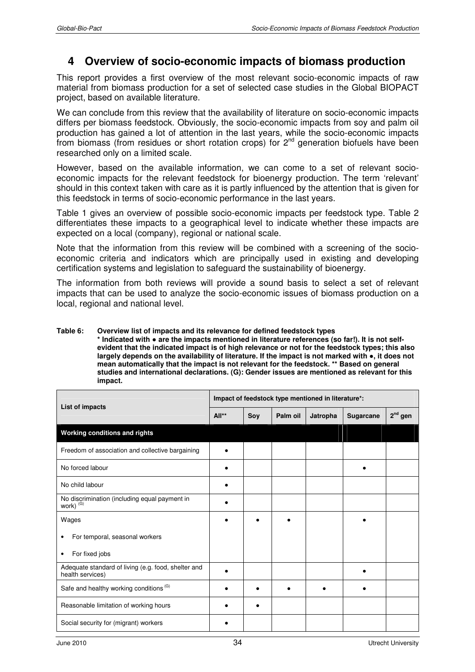# **4 Overview of socio-economic impacts of biomass production**

This report provides a first overview of the most relevant socio-economic impacts of raw material from biomass production for a set of selected case studies in the Global BIOPACT project, based on available literature.

We can conclude from this review that the availability of literature on socio-economic impacts differs per biomass feedstock. Obviously, the socio-economic impacts from soy and palm oil production has gained a lot of attention in the last years, while the socio-economic impacts from biomass (from residues or short rotation crops) for  $2<sup>nd</sup>$  generation biofuels have been researched only on a limited scale.

However, based on the available information, we can come to a set of relevant socioeconomic impacts for the relevant feedstock for bioenergy production. The term 'relevant' should in this context taken with care as it is partly influenced by the attention that is given for this feedstock in terms of socio-economic performance in the last years.

Table 1 gives an overview of possible socio-economic impacts per feedstock type. Table 2 differentiates these impacts to a geographical level to indicate whether these impacts are expected on a local (company), regional or national scale.

Note that the information from this review will be combined with a screening of the socioeconomic criteria and indicators which are principally used in existing and developing certification systems and legislation to safeguard the sustainability of bioenergy.

The information from both reviews will provide a sound basis to select a set of relevant impacts that can be used to analyze the socio-economic issues of biomass production on a local, regional and national level.

#### **Table 6: Overview list of impacts and its relevance for defined feedstock types**

**\* Indicated with** ● **are the impacts mentioned in literature references (so far!). It is not selfevident that the indicated impact is of high relevance or not for the feedstock types; this also largely depends on the availability of literature. If the impact is not marked with** ●**, it does not mean automatically that the impact is not relevant for the feedstock. \*\* Based on general studies and international declarations. (G): Gender issues are mentioned as relevant for this impact.**

| List of impacts                                                         | Impact of feedstock type mentioned in literature*: |           |          |          |           |           |  |
|-------------------------------------------------------------------------|----------------------------------------------------|-----------|----------|----------|-----------|-----------|--|
|                                                                         | All**                                              | Soy       | Palm oil | Jatropha | Sugarcane | $2nd$ gen |  |
| Working conditions and rights                                           |                                                    |           |          |          |           |           |  |
| Freedom of association and collective bargaining                        |                                                    |           |          |          |           |           |  |
| No forced labour                                                        |                                                    |           |          |          |           |           |  |
| No child labour                                                         |                                                    |           |          |          |           |           |  |
| No discrimination (including equal payment in<br>work) (G)              |                                                    |           |          |          |           |           |  |
| Wages                                                                   |                                                    |           |          |          |           |           |  |
| For temporal, seasonal workers                                          |                                                    |           |          |          |           |           |  |
| For fixed jobs<br>٠                                                     |                                                    |           |          |          |           |           |  |
| Adequate standard of living (e.g. food, shelter and<br>health services) |                                                    |           |          |          |           |           |  |
| Safe and healthy working conditions <sup>(G)</sup>                      |                                                    |           |          |          |           |           |  |
| Reasonable limitation of working hours                                  |                                                    | $\bullet$ |          |          |           |           |  |
| Social security for (migrant) workers                                   |                                                    |           |          |          |           |           |  |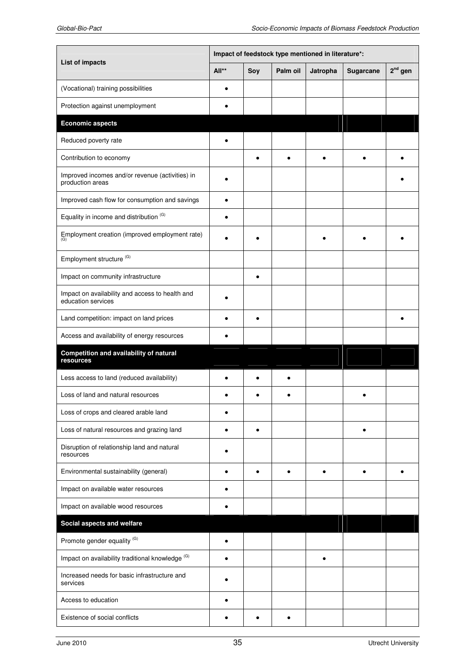|                                                                       | Impact of feedstock type mentioned in literature*: |           |          |          |           |           |  |
|-----------------------------------------------------------------------|----------------------------------------------------|-----------|----------|----------|-----------|-----------|--|
| List of impacts                                                       | All**                                              | Soy       | Palm oil | Jatropha | Sugarcane | $2nd$ gen |  |
| (Vocational) training possibilities                                   |                                                    |           |          |          |           |           |  |
| Protection against unemployment                                       |                                                    |           |          |          |           |           |  |
| <b>Economic aspects</b>                                               |                                                    |           |          |          |           |           |  |
| Reduced poverty rate                                                  |                                                    |           |          |          |           |           |  |
| Contribution to economy                                               |                                                    | $\bullet$ |          |          |           |           |  |
| Improved incomes and/or revenue (activities) in<br>production areas   |                                                    |           |          |          |           |           |  |
| Improved cash flow for consumption and savings                        | $\bullet$                                          |           |          |          |           |           |  |
| Equality in income and distribution (G)                               |                                                    |           |          |          |           |           |  |
| Employment creation (improved employment rate)                        |                                                    |           |          |          |           |           |  |
| Employment structure <sup>(G)</sup>                                   |                                                    |           |          |          |           |           |  |
| Impact on community infrastructure                                    |                                                    | $\bullet$ |          |          |           |           |  |
| Impact on availability and access to health and<br>education services |                                                    |           |          |          |           |           |  |
| Land competition: impact on land prices                               |                                                    | ٠         |          |          |           |           |  |
| Access and availability of energy resources                           |                                                    |           |          |          |           |           |  |
| Competition and availability of natural<br>resources                  |                                                    |           |          |          |           |           |  |
| Less access to land (reduced availability)                            |                                                    |           |          |          |           |           |  |
| Loss of land and natural resources                                    |                                                    |           |          |          |           |           |  |
| Loss of crops and cleared arable land                                 |                                                    |           |          |          |           |           |  |
| Loss of natural resources and grazing land                            |                                                    | $\bullet$ |          |          |           |           |  |
| Disruption of relationship land and natural<br>resources              |                                                    |           |          |          |           |           |  |
| Environmental sustainability (general)                                |                                                    | ٠         |          |          |           |           |  |
| Impact on available water resources                                   |                                                    |           |          |          |           |           |  |
| Impact on available wood resources                                    |                                                    |           |          |          |           |           |  |
| Social aspects and welfare                                            |                                                    |           |          |          |           |           |  |
| Promote gender equality <sup>(G)</sup>                                |                                                    |           |          |          |           |           |  |
| Impact on availability traditional knowledge (G)                      |                                                    |           |          | ٠        |           |           |  |
| Increased needs for basic infrastructure and<br>services              |                                                    |           |          |          |           |           |  |
| Access to education                                                   |                                                    |           |          |          |           |           |  |
| Existence of social conflicts                                         |                                                    | ٠         |          |          |           |           |  |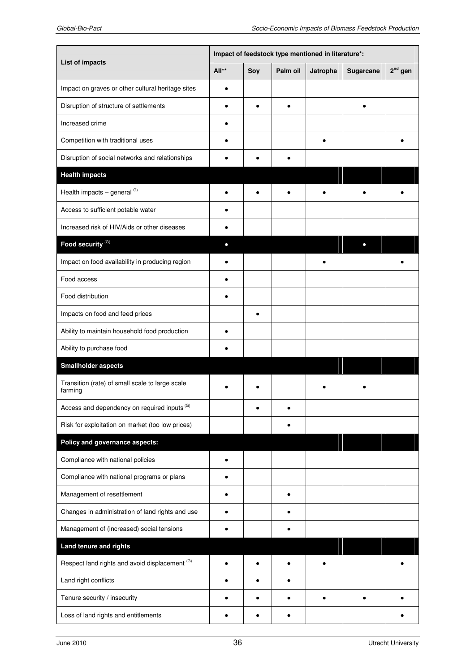|                                                            | Impact of feedstock type mentioned in literature*: |           |          |           |           |           |  |
|------------------------------------------------------------|----------------------------------------------------|-----------|----------|-----------|-----------|-----------|--|
| List of impacts                                            | All**                                              | Soy       | Palm oil | Jatropha  | Sugarcane | $2nd$ gen |  |
| Impact on graves or other cultural heritage sites          |                                                    |           |          |           |           |           |  |
| Disruption of structure of settlements                     | $\bullet$                                          | $\bullet$ | ٠        |           | $\bullet$ |           |  |
| Increased crime                                            |                                                    |           |          |           |           |           |  |
| Competition with traditional uses                          |                                                    |           |          |           |           |           |  |
| Disruption of social networks and relationships            |                                                    |           |          |           |           |           |  |
| <b>Health impacts</b>                                      |                                                    |           |          |           |           |           |  |
| Health impacts - general <sup>G)</sup>                     |                                                    |           |          |           |           |           |  |
| Access to sufficient potable water                         |                                                    |           |          |           |           |           |  |
| Increased risk of HIV/Aids or other diseases               |                                                    |           |          |           |           |           |  |
| Food security <sup>(G)</sup>                               | $\bullet$                                          |           |          |           |           |           |  |
| Impact on food availability in producing region            |                                                    |           |          |           |           |           |  |
| Food access                                                |                                                    |           |          |           |           |           |  |
| Food distribution                                          |                                                    |           |          |           |           |           |  |
| Impacts on food and feed prices                            |                                                    |           |          |           |           |           |  |
| Ability to maintain household food production              |                                                    |           |          |           |           |           |  |
| Ability to purchase food                                   |                                                    |           |          |           |           |           |  |
| <b>Smallholder aspects</b>                                 |                                                    |           |          |           |           |           |  |
| Transition (rate) of small scale to large scale<br>farming |                                                    |           |          |           |           |           |  |
| Access and dependency on required inputs (G)               |                                                    |           |          |           |           |           |  |
| Risk for exploitation on market (too low prices)           |                                                    |           |          |           |           |           |  |
| Policy and governance aspects:                             |                                                    |           |          |           |           |           |  |
| Compliance with national policies                          |                                                    |           |          |           |           |           |  |
| Compliance with national programs or plans                 |                                                    |           |          |           |           |           |  |
| Management of resettlement                                 | ٠                                                  |           | ۰        |           |           |           |  |
| Changes in administration of land rights and use           | $\bullet$                                          |           |          |           |           |           |  |
| Management of (increased) social tensions                  |                                                    |           |          |           |           |           |  |
| Land tenure and rights                                     |                                                    |           |          |           |           |           |  |
| Respect land rights and avoid displacement (G)             |                                                    |           |          |           |           |           |  |
| Land right conflicts                                       |                                                    |           |          |           |           |           |  |
| Tenure security / insecurity                               |                                                    | $\bullet$ |          | $\bullet$ |           |           |  |
| Loss of land rights and entitlements                       |                                                    |           |          |           |           |           |  |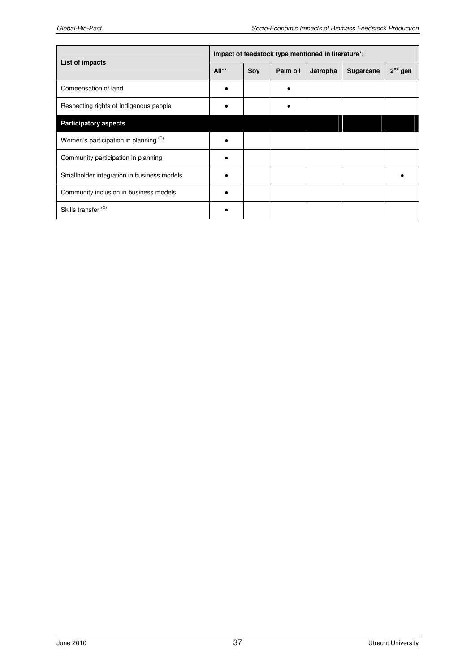| List of impacts                            | Impact of feedstock type mentioned in literature*: |     |          |          |           |           |  |
|--------------------------------------------|----------------------------------------------------|-----|----------|----------|-----------|-----------|--|
|                                            | $All**$                                            | Soy | Palm oil | Jatropha | Sugarcane | $2nd$ gen |  |
| Compensation of land                       |                                                    |     |          |          |           |           |  |
| Respecting rights of Indigenous people     |                                                    |     |          |          |           |           |  |
| <b>Participatory aspects</b>               |                                                    |     |          |          |           |           |  |
| Women's participation in planning (G)      |                                                    |     |          |          |           |           |  |
| Community participation in planning        |                                                    |     |          |          |           |           |  |
| Smallholder integration in business models |                                                    |     |          |          |           |           |  |
| Community inclusion in business models     |                                                    |     |          |          |           |           |  |
| Skills transfer <sup>(G)</sup>             |                                                    |     |          |          |           |           |  |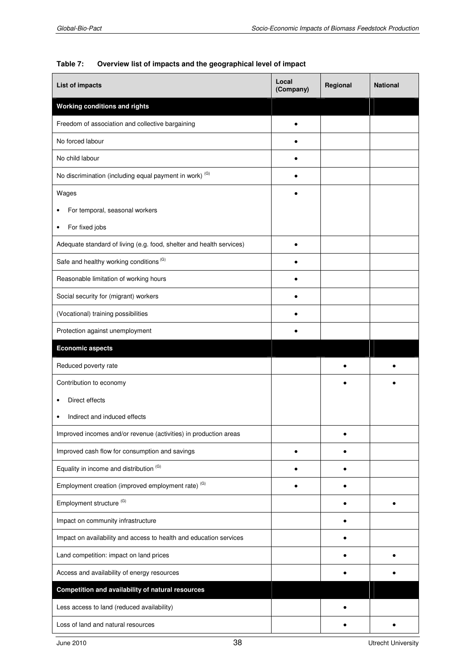#### **Table 7: Overview list of impacts and the geographical level of impact**

| List of impacts                                                      | Local<br>(Company) | Regional | <b>National</b> |
|----------------------------------------------------------------------|--------------------|----------|-----------------|
| Working conditions and rights                                        |                    |          |                 |
| Freedom of association and collective bargaining                     |                    |          |                 |
| No forced labour                                                     |                    |          |                 |
| No child labour                                                      |                    |          |                 |
| No discrimination (including equal payment in work) (G)              |                    |          |                 |
| Wages                                                                |                    |          |                 |
| For temporal, seasonal workers                                       |                    |          |                 |
| For fixed jobs                                                       |                    |          |                 |
| Adequate standard of living (e.g. food, shelter and health services) |                    |          |                 |
| Safe and healthy working conditions (G)                              |                    |          |                 |
| Reasonable limitation of working hours                               |                    |          |                 |
| Social security for (migrant) workers                                |                    |          |                 |
| (Vocational) training possibilities                                  |                    |          |                 |
| Protection against unemployment                                      |                    |          |                 |
| <b>Economic aspects</b>                                              |                    |          |                 |
| Reduced poverty rate                                                 |                    |          |                 |
| Contribution to economy                                              |                    |          |                 |
| Direct effects                                                       |                    |          |                 |
| Indirect and induced effects<br>$\bullet$                            |                    |          |                 |
| Improved incomes and/or revenue (activities) in production areas     |                    |          |                 |
| Improved cash flow for consumption and savings                       |                    |          |                 |
| Equality in income and distribution (G)                              |                    |          |                 |
| Employment creation (improved employment rate) <sup>(G)</sup>        |                    |          |                 |
| Employment structure <sup>(G)</sup>                                  |                    |          |                 |
| Impact on community infrastructure                                   |                    |          |                 |
| Impact on availability and access to health and education services   |                    |          |                 |
| Land competition: impact on land prices                              |                    |          |                 |
| Access and availability of energy resources                          |                    |          |                 |
| Competition and availability of natural resources                    |                    |          |                 |
| Less access to land (reduced availability)                           |                    |          |                 |
| Loss of land and natural resources                                   |                    |          |                 |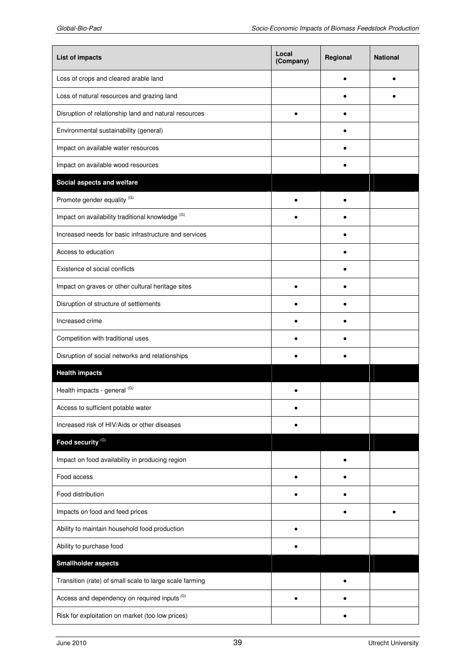| List of impacts                                         | Local<br>(Company) | Regional | <b>National</b> |
|---------------------------------------------------------|--------------------|----------|-----------------|
| Loss of crops and cleared arable land                   |                    |          |                 |
| Loss of natural resources and grazing land              |                    |          |                 |
| Disruption of relationship land and natural resources   |                    |          |                 |
| Environmental sustainability (general)                  |                    |          |                 |
| Impact on available water resources                     |                    |          |                 |
| Impact on available wood resources                      |                    |          |                 |
| Social aspects and welfare                              |                    |          |                 |
| Promote gender equality (G)                             |                    |          |                 |
| Impact on availability traditional knowledge (G)        |                    |          |                 |
| Increased needs for basic infrastructure and services   |                    |          |                 |
| Access to education                                     |                    |          |                 |
| Existence of social conflicts                           |                    |          |                 |
| Impact on graves or other cultural heritage sites       |                    |          |                 |
| Disruption of structure of settlements                  |                    |          |                 |
| Increased crime                                         |                    |          |                 |
| Competition with traditional uses                       |                    |          |                 |
| Disruption of social networks and relationships         |                    |          |                 |
| <b>Health impacts</b>                                   |                    |          |                 |
| Health impacts - general (G)                            |                    |          |                 |
| Access to sufficient potable water                      |                    |          |                 |
| Increased risk of HIV/Aids or other diseases            |                    |          |                 |
| Food security <sup>(G)</sup>                            |                    |          |                 |
| Impact on food availability in producing region         |                    |          |                 |
| Food access                                             |                    |          |                 |
| Food distribution                                       |                    |          |                 |
| Impacts on food and feed prices                         |                    |          |                 |
| Ability to maintain household food production           |                    |          |                 |
| Ability to purchase food                                |                    |          |                 |
| <b>Smallholder aspects</b>                              |                    |          |                 |
| Transition (rate) of small scale to large scale farming |                    |          |                 |
| Access and dependency on required inputs (G)            |                    |          |                 |
| Risk for exploitation on market (too low prices)        |                    |          |                 |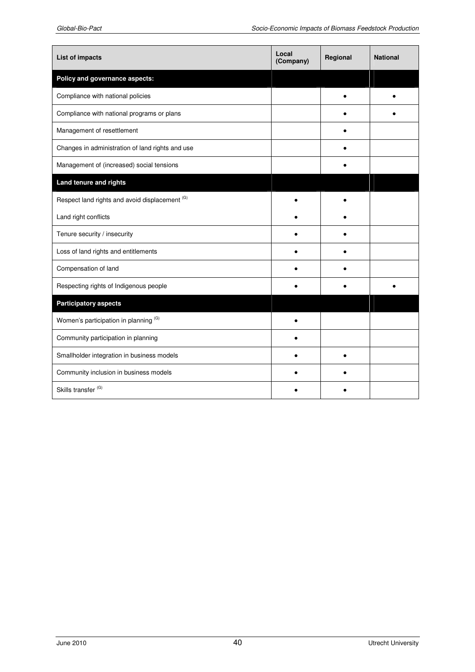| List of impacts                                  | Local<br>(Company) | Regional | <b>National</b> |
|--------------------------------------------------|--------------------|----------|-----------------|
| Policy and governance aspects:                   |                    |          |                 |
| Compliance with national policies                |                    |          |                 |
| Compliance with national programs or plans       |                    |          |                 |
| Management of resettlement                       |                    |          |                 |
| Changes in administration of land rights and use |                    |          |                 |
| Management of (increased) social tensions        |                    |          |                 |
| Land tenure and rights                           |                    |          |                 |
| Respect land rights and avoid displacement (G)   |                    |          |                 |
| Land right conflicts                             |                    |          |                 |
| Tenure security / insecurity                     |                    |          |                 |
| Loss of land rights and entitlements             |                    |          |                 |
| Compensation of land                             |                    |          |                 |
| Respecting rights of Indigenous people           |                    |          |                 |
| <b>Participatory aspects</b>                     |                    |          |                 |
| Women's participation in planning (G)            |                    |          |                 |
| Community participation in planning              |                    |          |                 |
| Smallholder integration in business models       |                    |          |                 |
| Community inclusion in business models           |                    |          |                 |
| Skills transfer <sup>(G)</sup>                   |                    |          |                 |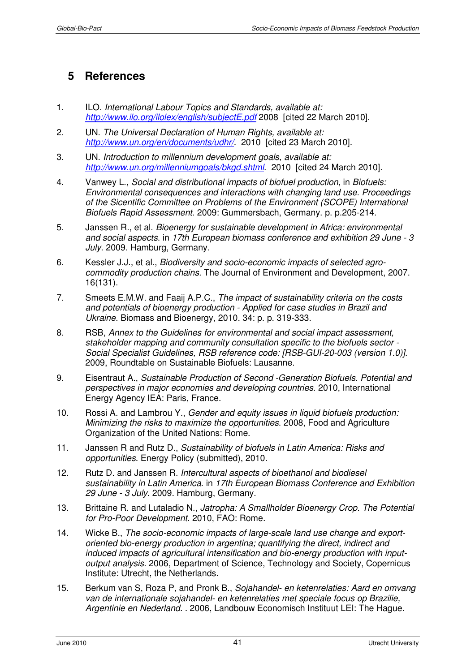# **5 References**

- 1. ILO. International Labour Topics and Standards, available at: http://www.ilo.org/ilolex/english/subjectE.pdf 2008 [cited 22 March 2010].
- 2. UN. The Universal Declaration of Human Rights, available at: http://www.un.org/en/documents/udhr/. 2010 [cited 23 March 2010].
- 3. UN. Introduction to millennium development goals, available at: http://www.un.org/millenniumgoals/bkgd.shtml. 2010 [cited 24 March 2010].
- 4. Vanwey L., Social and distributional impacts of biofuel production, in Biofuels: Environmental consequences and interactions with changing land use. Proceedings of the Sicentific Committee on Problems of the Environment (SCOPE) International Biofuels Rapid Assessment. 2009: Gummersbach, Germany. p. p.205-214.
- 5. Janssen R., et al. Bioenergy for sustainable development in Africa: environmental and social aspects. in 17th European biomass conference and exhibition 29 June - 3 July. 2009. Hamburg, Germany.
- 6. Kessler J.J., et al., Biodiversity and socio-economic impacts of selected agrocommodity production chains. The Journal of Environment and Development, 2007. 16(131).
- 7. Smeets E.M.W. and Faaij A.P.C., The impact of sustainability criteria on the costs and potentials of bioenergy production - Applied for case studies in Brazil and Ukraine. Biomass and Bioenergy, 2010. 34: p. p. 319-333.
- 8. RSB, Annex to the Guidelines for environmental and social impact assessment, stakeholder mapping and community consultation specific to the biofuels sector - Social Specialist Guidelines, RSB reference code: [RSB-GUI-20-003 (version 1.0)]. 2009, Roundtable on Sustainable Biofuels: Lausanne.
- 9. Eisentraut A., Sustainable Production of Second -Generation Biofuels. Potential and perspectives in major economies and developing countries. 2010, International Energy Agency IEA: Paris, France.
- 10. Rossi A. and Lambrou Y., Gender and equity issues in liquid biofuels production: Minimizing the risks to maximize the opportunities. 2008, Food and Agriculture Organization of the United Nations: Rome.
- 11. Janssen R and Rutz D., Sustainability of biofuels in Latin America: Risks and opportunities. Energy Policy (submitted), 2010.
- 12. Rutz D. and Janssen R. Intercultural aspects of bioethanol and biodiesel sustainability in Latin America. in 17th European Biomass Conference and Exhibition 29 June - 3 July. 2009. Hamburg, Germany.
- 13. Brittaine R. and Lutaladio N., Jatropha: A Smallholder Bioenergy Crop. The Potential for Pro-Poor Development. 2010, FAO: Rome.
- 14. Wicke B., The socio-economic impacts of large-scale land use change and exportoriented bio-energy production in argentina; quantifying the direct, indirect and induced impacts of agricultural intensification and bio-energy production with inputoutput analysis. 2006, Department of Science, Technology and Society, Copernicus Institute: Utrecht, the Netherlands.
- 15. Berkum van S, Roza P, and Pronk B., Sojahandel- en ketenrelaties: Aard en omvang van de internationale sojahandel- en ketenrelaties met speciale focus op Brazilie, Argentinie en Nederland. . 2006, Landbouw Economisch Instituut LEI: The Hague.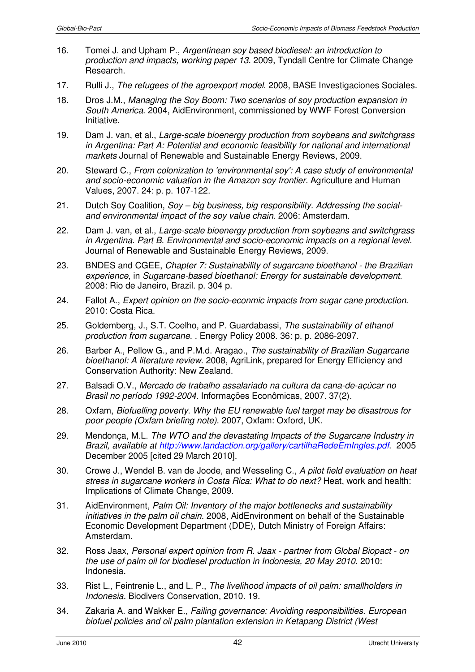- 16. Tomei J. and Upham P., Argentinean soy based biodiesel: an introduction to production and impacts, working paper 13. 2009, Tyndall Centre for Climate Change Research.
- 17. Rulli J., The refugees of the agroexport model. 2008, BASE Investigaciones Sociales.
- 18. Dros J.M., Managing the Soy Boom: Two scenarios of soy production expansion in South America. 2004, AidEnvironment, commissioned by WWF Forest Conversion Initiative.
- 19. Dam J. van, et al., Large-scale bioenergy production from soybeans and switchgrass in Argentina: Part A: Potential and economic feasibility for national and international markets Journal of Renewable and Sustainable Energy Reviews, 2009.
- 20. Steward C., From colonization to 'environmental soy': A case study of environmental and socio-economic valuation in the Amazon soy frontier. Agriculture and Human Values, 2007. 24: p. p. 107-122.
- 21. Dutch Soy Coalition, Soy big business, big responsibility. Addressing the socialand environmental impact of the soy value chain. 2006: Amsterdam.
- 22. Dam J. van, et al., Large-scale bioenergy production from soybeans and switchgrass in Argentina. Part B. Environmental and socio-economic impacts on a regional level. Journal of Renewable and Sustainable Energy Reviews, 2009.
- 23. BNDES and CGEE, Chapter 7: Sustainability of sugarcane bioethanol the Brazilian experience, in Sugarcane-based bioethanol: Energy for sustainable development. 2008: Rio de Janeiro, Brazil. p. 304 p.
- 24. Fallot A., Expert opinion on the socio-econmic impacts from sugar cane production. 2010: Costa Rica.
- 25. Goldemberg, J., S.T. Coelho, and P. Guardabassi, The sustainability of ethanol production from sugarcane. . Energy Policy 2008. 36: p. p. 2086-2097.
- 26. Barber A., Pellow G., and P.M.d. Aragao., The sustainability of Brazilian Sugarcane bioethanol: A literature review. 2008, AgriLink, prepared for Energy Efficiency and Conservation Authority: New Zealand.
- 27. Balsadi O.V., Mercado de trabalho assalariado na cultura da cana-de-açúcar no Brasil no período 1992-2004. Informações Econômicas, 2007. 37(2).
- 28. Oxfam, Biofuelling poverty. Why the EU renewable fuel target may be disastrous for poor people (Oxfam briefing note). 2007, Oxfam: Oxford, UK.
- 29. Mendonça, M.L. The WTO and the devastating Impacts of the Sugarcane Industry in Brazil. available at http://www.landaction.org/gallery/cartilhaRedeEmIngles.pdf. 2005 December 2005 [cited 29 March 2010].
- 30. Crowe J., Wendel B. van de Joode, and Wesseling C., A pilot field evaluation on heat stress in sugarcane workers in Costa Rica: What to do next? Heat, work and health: Implications of Climate Change, 2009.
- 31. AidEnvironment, Palm Oil: Inventory of the major bottlenecks and sustainability initiatives in the palm oil chain. 2008, AidEnvironment on behalf of the Sustainable Economic Development Department (DDE), Dutch Ministry of Foreign Affairs: Amsterdam.
- 32. Ross Jaax, Personal expert opinion from R. Jaax partner from Global Biopact on the use of palm oil for biodiesel production in Indonesia, 20 May 2010. 2010: Indonesia.
- 33. Rist L., Feintrenie L., and L. P., The livelihood impacts of oil palm: smallholders in Indonesia. Biodivers Conservation, 2010. 19.
- 34. Zakaria A. and Wakker E., Failing governance: Avoiding responsibilities. European biofuel policies and oil palm plantation extension in Ketapang District (West